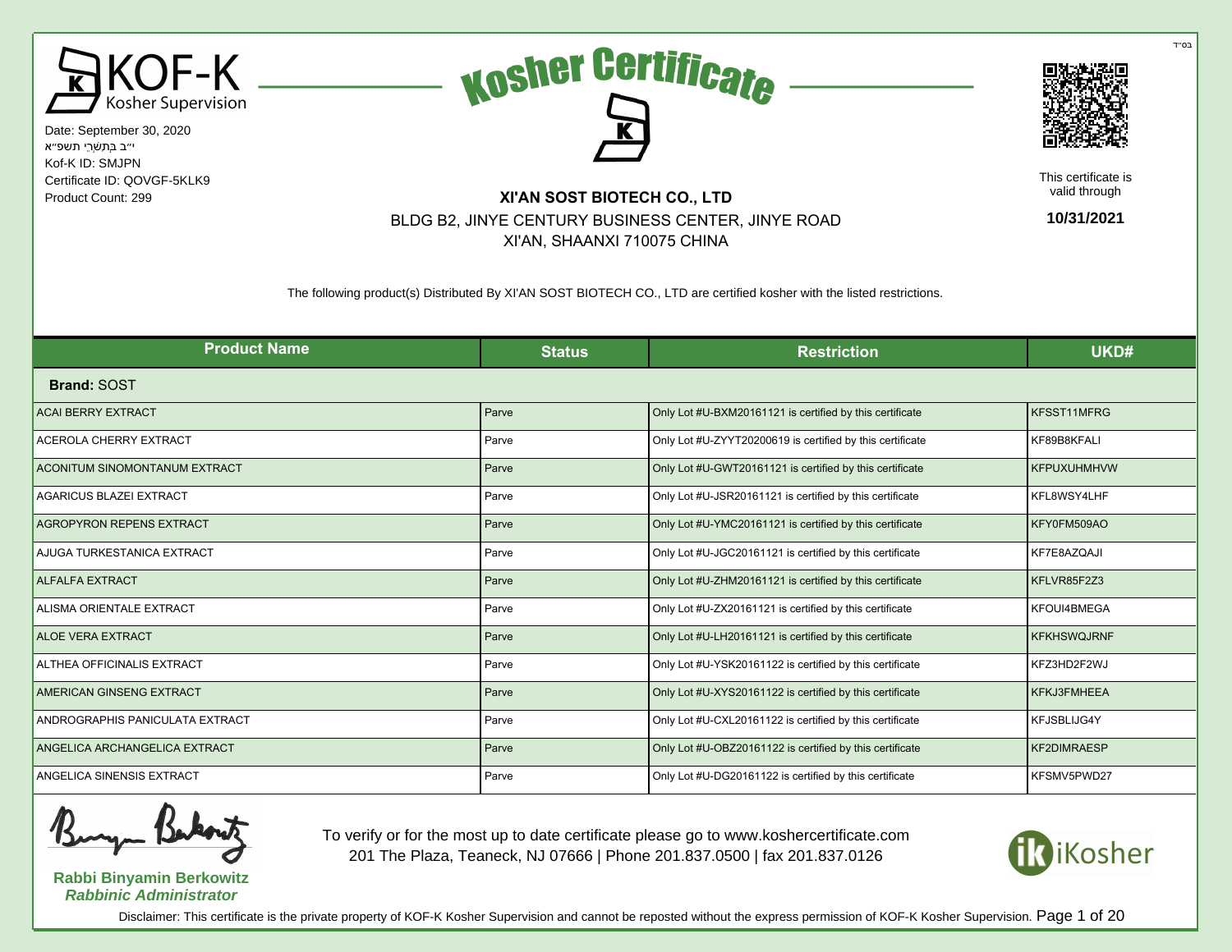

Date: September 30, 2020 י״ב בְּתִשְׁרֵי תשפ״א Kof-K ID: SMJPN Certificate ID: QOVGF-5KLK9 Product Count: 299 **XI'AN SOST BIOTECH CO., LTD** 





This certificate is valid through

**10/31/2021**

BLDG B2, JINYE CENTURY BUSINESS CENTER, JINYE ROAD XI'AN, SHAANXI 710075 CHINA

The following product(s) Distributed By XI'AN SOST BIOTECH CO., LTD are certified kosher with the listed restrictions.

| <b>Product Name</b>                  | <b>Status</b> | <b>Restriction</b>                                        | UKD#               |
|--------------------------------------|---------------|-----------------------------------------------------------|--------------------|
| <b>Brand: SOST</b>                   |               |                                                           |                    |
| <b>ACAI BERRY EXTRACT</b>            | Parve         | Only Lot #U-BXM20161121 is certified by this certificate  | KFSST11MFRG        |
| <b>ACEROLA CHERRY EXTRACT</b>        | Parve         | Only Lot #U-ZYYT20200619 is certified by this certificate | KF89B8KFALI        |
| <b>ACONITUM SINOMONTANUM EXTRACT</b> | Parve         | Only Lot #U-GWT20161121 is certified by this certificate  | <b>KFPUXUHMHVW</b> |
| <b>AGARICUS BLAZEI EXTRACT</b>       | Parve         | Only Lot #U-JSR20161121 is certified by this certificate  | KFL8WSY4LHF        |
| <b>AGROPYRON REPENS EXTRACT</b>      | Parve         | Only Lot #U-YMC20161121 is certified by this certificate  | KFY0FM509AO        |
| AJUGA TURKESTANICA EXTRACT           | Parve         | Only Lot #U-JGC20161121 is certified by this certificate  | KF7E8AZQAJI        |
| <b>ALFALFA EXTRACT</b>               | Parve         | Only Lot #U-ZHM20161121 is certified by this certificate  | KFLVR85F2Z3        |
| ALISMA ORIENTALE EXTRACT             | Parve         | Only Lot #U-ZX20161121 is certified by this certificate   | KFOUI4BMEGA        |
| <b>ALOE VERA EXTRACT</b>             | Parve         | Only Lot #U-LH20161121 is certified by this certificate   | <b>KFKHSWQJRNF</b> |
| ALTHEA OFFICINALIS EXTRACT           | Parve         | Only Lot #U-YSK20161122 is certified by this certificate  | KFZ3HD2F2WJ        |
| AMERICAN GINSENG EXTRACT             | Parve         | Only Lot #U-XYS20161122 is certified by this certificate  | KFKJ3FMHEEA        |
| ANDROGRAPHIS PANICULATA EXTRACT      | Parve         | Only Lot #U-CXL20161122 is certified by this certificate  | KFJSBLIJG4Y        |
| ANGELICA ARCHANGELICA EXTRACT        | Parve         | Only Lot #U-OBZ20161122 is certified by this certificate  | <b>KF2DIMRAESP</b> |
| ANGELICA SINENSIS EXTRACT            | Parve         | Only Lot #U-DG20161122 is certified by this certificate   | KFSMV5PWD27        |

**Rabbi Binyamin Berkowitz Rabbinic Administrator**

To verify or for the most up to date certificate please go to www.koshercertificate.com 201 The Plaza, Teaneck, NJ 07666 | Phone 201.837.0500 | fax 201.837.0126



Disclaimer: This certificate is the private property of KOF-K Kosher Supervision and cannot be reposted without the express permission of KOF-K Kosher Supervision. Page 1 of 20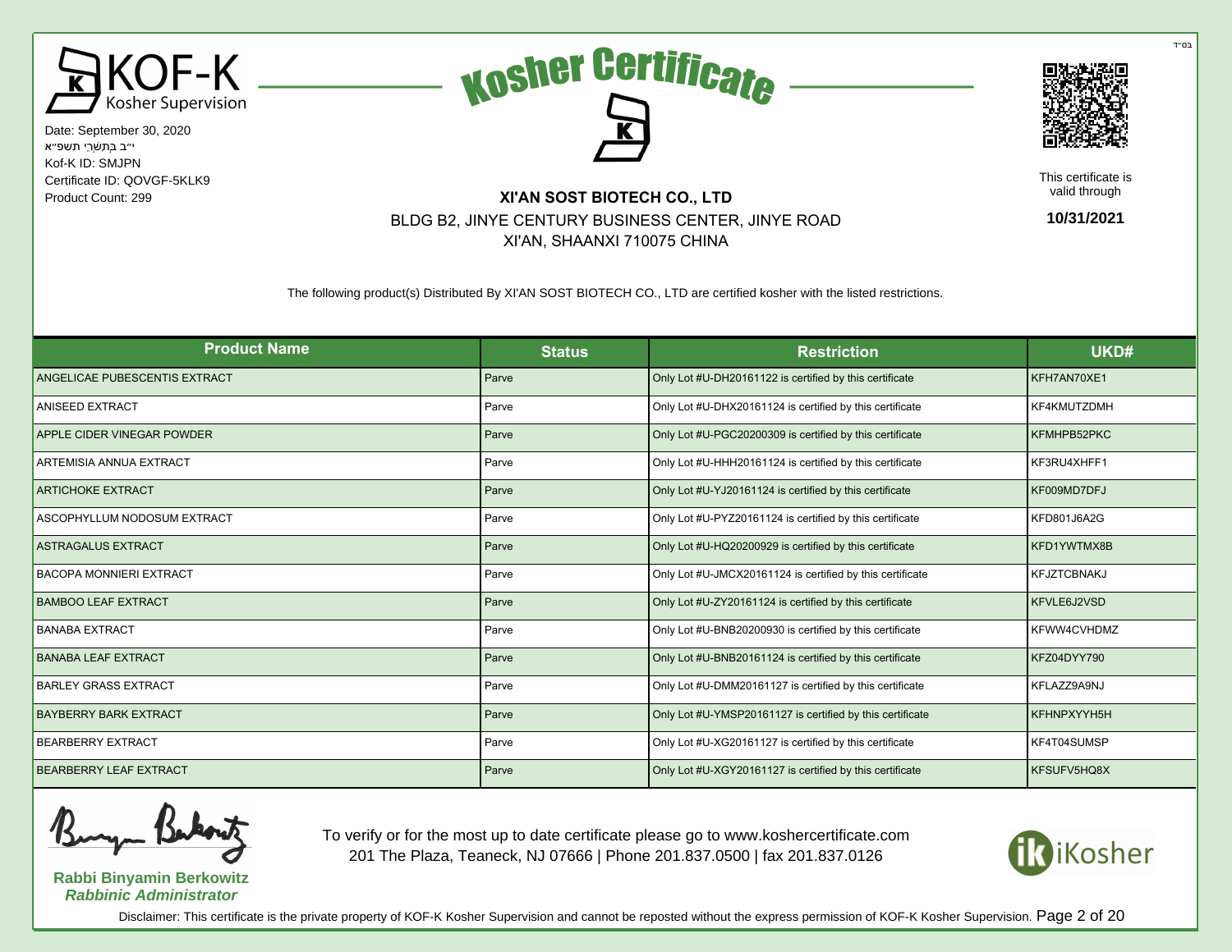





This certificate is valid through

**10/31/2021**

## Product Count: 299 **XI'AN SOST BIOTECH CO., LTD** BLDG B2, JINYE CENTURY BUSINESS CENTER, JINYE ROAD XI'AN, SHAANXI 710075 CHINA

The following product(s) Distributed By XI'AN SOST BIOTECH CO., LTD are certified kosher with the listed restrictions.

| <b>Product Name</b>            | <b>Status</b> | <b>Restriction</b>                                        | UKD#               |
|--------------------------------|---------------|-----------------------------------------------------------|--------------------|
| ANGELICAE PUBESCENTIS EXTRACT  | Parve         | Only Lot #U-DH20161122 is certified by this certificate   | KFH7AN70XE1        |
| ANISEED EXTRACT                | Parve         | Only Lot #U-DHX20161124 is certified by this certificate  | KF4KMUTZDMH        |
| APPLE CIDER VINEGAR POWDER     | Parve         | Only Lot #U-PGC20200309 is certified by this certificate  | KFMHPB52PKC        |
| ARTEMISIA ANNUA EXTRACT        | Parve         | Only Lot #U-HHH20161124 is certified by this certificate  | KF3RU4XHFF1        |
| <b>ARTICHOKE EXTRACT</b>       | Parve         | Only Lot #U-YJ20161124 is certified by this certificate   | KF009MD7DFJ        |
| ASCOPHYLLUM NODOSUM EXTRACT    | Parve         | Only Lot #U-PYZ20161124 is certified by this certificate  | KFD801J6A2G        |
| <b>ASTRAGALUS EXTRACT</b>      | Parve         | Only Lot #U-HQ20200929 is certified by this certificate   | KFD1YWTMX8B        |
| <b>BACOPA MONNIERI EXTRACT</b> | Parve         | Only Lot #U-JMCX20161124 is certified by this certificate | <b>KFJZTCBNAKJ</b> |
| <b>BAMBOO LEAF EXTRACT</b>     | Parve         | Only Lot #U-ZY20161124 is certified by this certificate   | KFVLE6J2VSD        |
| <b>BANABA EXTRACT</b>          | Parve         | Only Lot #U-BNB20200930 is certified by this certificate  | KFWW4CVHDMZ        |
| <b>BANABA LEAF EXTRACT</b>     | Parve         | Only Lot #U-BNB20161124 is certified by this certificate  | KFZ04DYY790        |
| <b>BARLEY GRASS EXTRACT</b>    | Parve         | Only Lot #U-DMM20161127 is certified by this certificate  | KFLAZZ9A9NJ        |
| <b>BAYBERRY BARK EXTRACT</b>   | Parve         | Only Lot #U-YMSP20161127 is certified by this certificate | KFHNPXYYH5H        |
| <b>BEARBERRY EXTRACT</b>       | Parve         | Only Lot #U-XG20161127 is certified by this certificate   | KF4T04SUMSP        |
| <b>BEARBERRY LEAF EXTRACT</b>  | Parve         | Only Lot #U-XGY20161127 is certified by this certificate  | KFSUFV5HQ8X        |

**Rabbi Binyamin Berkowitz Rabbinic Administrator**

To verify or for the most up to date certificate please go to www.koshercertificate.com 201 The Plaza, Teaneck, NJ 07666 | Phone 201.837.0500 | fax 201.837.0126



Disclaimer: This certificate is the private property of KOF-K Kosher Supervision and cannot be reposted without the express permission of KOF-K Kosher Supervision. Page 2 of 20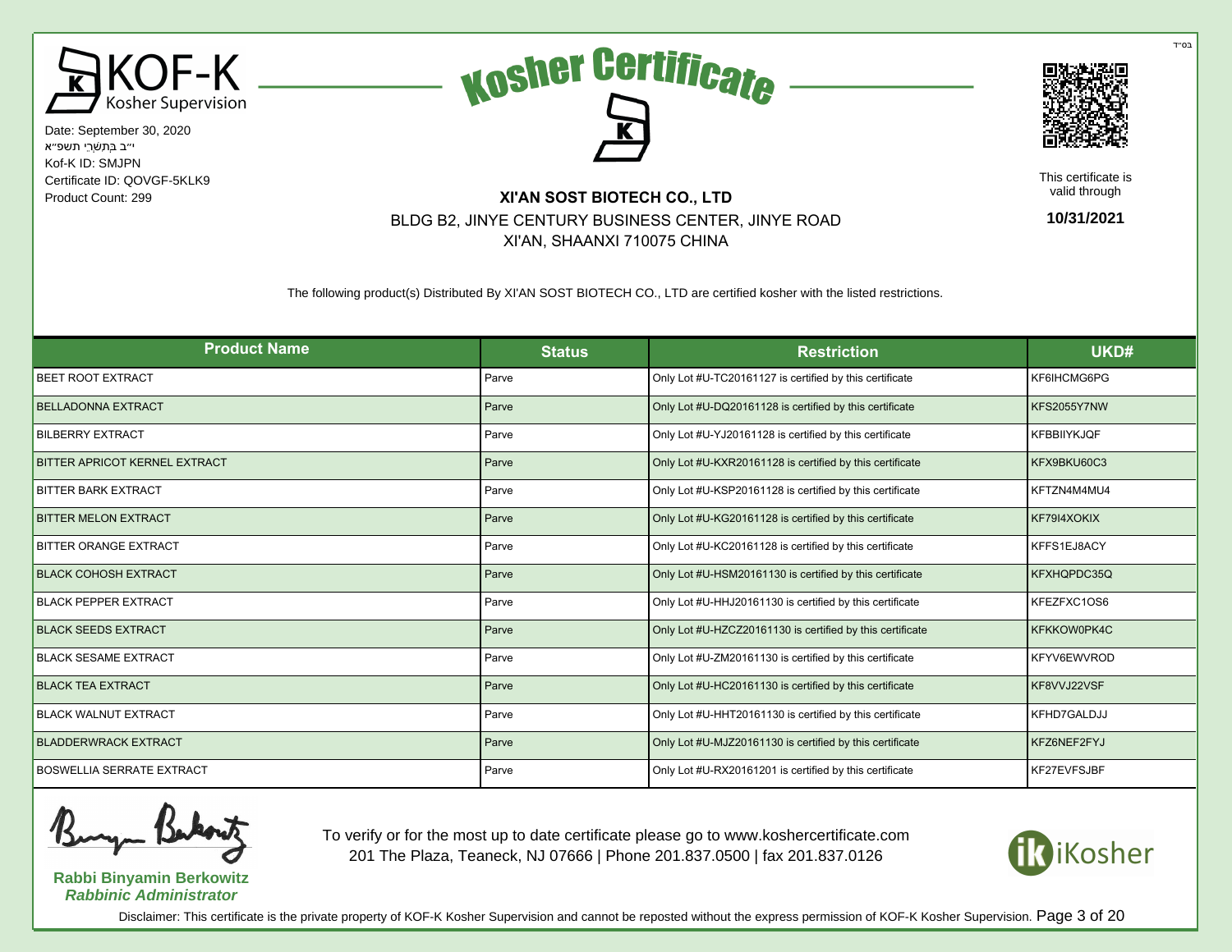





This certificate is valid through

**10/31/2021**

# Product Count: 299 **XI'AN SOST BIOTECH CO., LTD** BLDG B2, JINYE CENTURY BUSINESS CENTER, JINYE ROAD XI'AN, SHAANXI 710075 CHINA

The following product(s) Distributed By XI'AN SOST BIOTECH CO., LTD are certified kosher with the listed restrictions.

| <b>Product Name</b>                  | <b>Status</b> | <b>Restriction</b>                                        | UKD#               |
|--------------------------------------|---------------|-----------------------------------------------------------|--------------------|
| <b>BEET ROOT EXTRACT</b>             | Parve         | Only Lot #U-TC20161127 is certified by this certificate   | KF6IHCMG6PG        |
| <b>BELLADONNA EXTRACT</b>            | Parve         | Only Lot #U-DQ20161128 is certified by this certificate   | KFS2055Y7NW        |
| <b>BILBERRY EXTRACT</b>              | Parve         | Only Lot #U-YJ20161128 is certified by this certificate   | <b>KFBBIIYKJQF</b> |
| <b>BITTER APRICOT KERNEL EXTRACT</b> | Parve         | Only Lot #U-KXR20161128 is certified by this certificate  | KFX9BKU60C3        |
| <b>BITTER BARK EXTRACT</b>           | Parve         | Only Lot #U-KSP20161128 is certified by this certificate  | KFTZN4M4MU4        |
| <b>BITTER MELON EXTRACT</b>          | Parve         | Only Lot #U-KG20161128 is certified by this certificate   | KF79I4XOKIX        |
| <b>BITTER ORANGE EXTRACT</b>         | Parve         | Only Lot #U-KC20161128 is certified by this certificate   | KFFS1EJ8ACY        |
| <b>BLACK COHOSH EXTRACT</b>          | Parve         | Only Lot #U-HSM20161130 is certified by this certificate  | KFXHQPDC35Q        |
| <b>BLACK PEPPER EXTRACT</b>          | Parve         | Only Lot #U-HHJ20161130 is certified by this certificate  | KFEZFXC1OS6        |
| <b>BLACK SEEDS EXTRACT</b>           | Parve         | Only Lot #U-HZCZ20161130 is certified by this certificate | KFKKOW0PK4C        |
| <b>BLACK SESAME EXTRACT</b>          | Parve         | Only Lot #U-ZM20161130 is certified by this certificate   | KFYV6EWVROD        |
| <b>BLACK TEA EXTRACT</b>             | Parve         | Only Lot #U-HC20161130 is certified by this certificate   | KF8VVJ22VSF        |
| <b>BLACK WALNUT EXTRACT</b>          | Parve         | Only Lot #U-HHT20161130 is certified by this certificate  | KFHD7GALDJJ        |
| <b>BLADDERWRACK EXTRACT</b>          | Parve         | Only Lot #U-MJZ20161130 is certified by this certificate  | KFZ6NEF2FYJ        |
| <b>BOSWELLIA SERRATE EXTRACT</b>     | Parve         | Only Lot #U-RX20161201 is certified by this certificate   | KF27EVFSJBF        |



**Rabbi Binyamin Berkowitz Rabbinic Administrator**

To verify or for the most up to date certificate please go to www.koshercertificate.com 201 The Plaza, Teaneck, NJ 07666 | Phone 201.837.0500 | fax 201.837.0126



Disclaimer: This certificate is the private property of KOF-K Kosher Supervision and cannot be reposted without the express permission of KOF-K Kosher Supervision. Page 3 of 20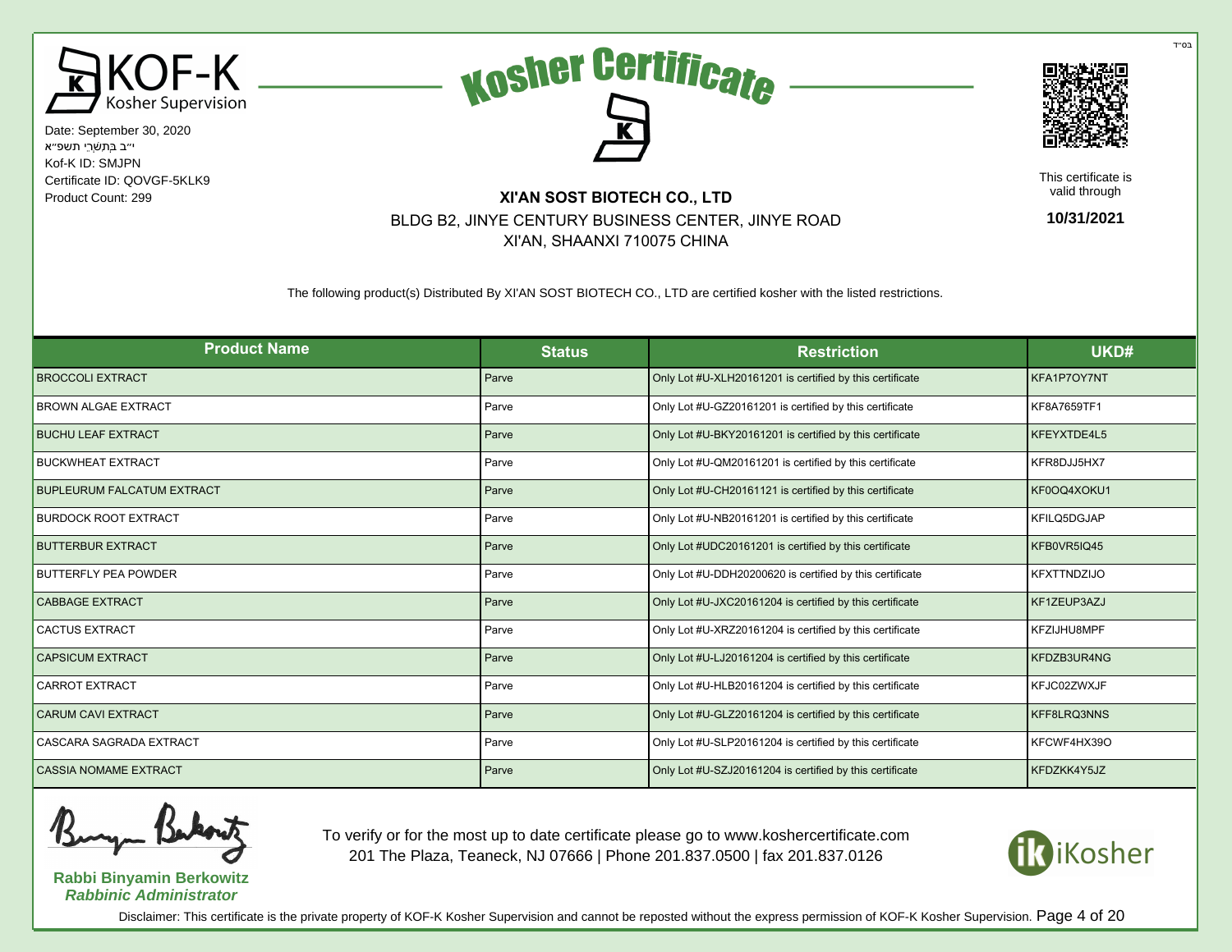





This certificate is valid through

**10/31/2021**

# Product Count: 299 **XI'AN SOST BIOTECH CO., LTD** BLDG B2, JINYE CENTURY BUSINESS CENTER, JINYE ROAD XI'AN, SHAANXI 710075 CHINA

The following product(s) Distributed By XI'AN SOST BIOTECH CO., LTD are certified kosher with the listed restrictions.

| <b>Product Name</b>               | <b>Status</b> | <b>Restriction</b>                                       | UKD#               |
|-----------------------------------|---------------|----------------------------------------------------------|--------------------|
| <b>BROCCOLI EXTRACT</b>           | Parve         | Only Lot #U-XLH20161201 is certified by this certificate | KFA1P7OY7NT        |
| <b>BROWN ALGAE EXTRACT</b>        | Parve         | Only Lot #U-GZ20161201 is certified by this certificate  | KF8A7659TF1        |
| <b>BUCHU LEAF EXTRACT</b>         | Parve         | Only Lot #U-BKY20161201 is certified by this certificate | KFEYXTDE4L5        |
| <b>BUCKWHEAT EXTRACT</b>          | Parve         | Only Lot #U-QM20161201 is certified by this certificate  | KFR8DJJ5HX7        |
| <b>BUPLEURUM FALCATUM EXTRACT</b> | Parve         | Only Lot #U-CH20161121 is certified by this certificate  | KF0OQ4XOKU1        |
| <b>BURDOCK ROOT EXTRACT</b>       | Parve         | Only Lot #U-NB20161201 is certified by this certificate  | KFILQ5DGJAP        |
| <b>BUTTERBUR EXTRACT</b>          | Parve         | Only Lot #UDC20161201 is certified by this certificate   | KFB0VR5IQ45        |
| <b>BUTTERFLY PEA POWDER</b>       | Parve         | Only Lot #U-DDH20200620 is certified by this certificate | <b>KFXTTNDZIJO</b> |
| <b>CABBAGE EXTRACT</b>            | Parve         | Only Lot #U-JXC20161204 is certified by this certificate | KF1ZEUP3AZJ        |
| <b>CACTUS EXTRACT</b>             | Parve         | Only Lot #U-XRZ20161204 is certified by this certificate | KFZIJHU8MPF        |
| <b>CAPSICUM EXTRACT</b>           | Parve         | Only Lot #U-LJ20161204 is certified by this certificate  | KFDZB3UR4NG        |
| <b>CARROT EXTRACT</b>             | Parve         | Only Lot #U-HLB20161204 is certified by this certificate | KFJC02ZWXJF        |
| <b>CARUM CAVI EXTRACT</b>         | Parve         | Only Lot #U-GLZ20161204 is certified by this certificate | KFF8LRQ3NNS        |
| CASCARA SAGRADA EXTRACT           | Parve         | Only Lot #U-SLP20161204 is certified by this certificate | KFCWF4HX39O        |
| <b>CASSIA NOMAME EXTRACT</b>      | Parve         | Only Lot #U-SZJ20161204 is certified by this certificate | KFDZKK4Y5JZ        |

**Rabbi Binyamin Berkowitz Rabbinic Administrator**

To verify or for the most up to date certificate please go to www.koshercertificate.com 201 The Plaza, Teaneck, NJ 07666 | Phone 201.837.0500 | fax 201.837.0126



Disclaimer: This certificate is the private property of KOF-K Kosher Supervision and cannot be reposted without the express permission of KOF-K Kosher Supervision. Page 4 of 20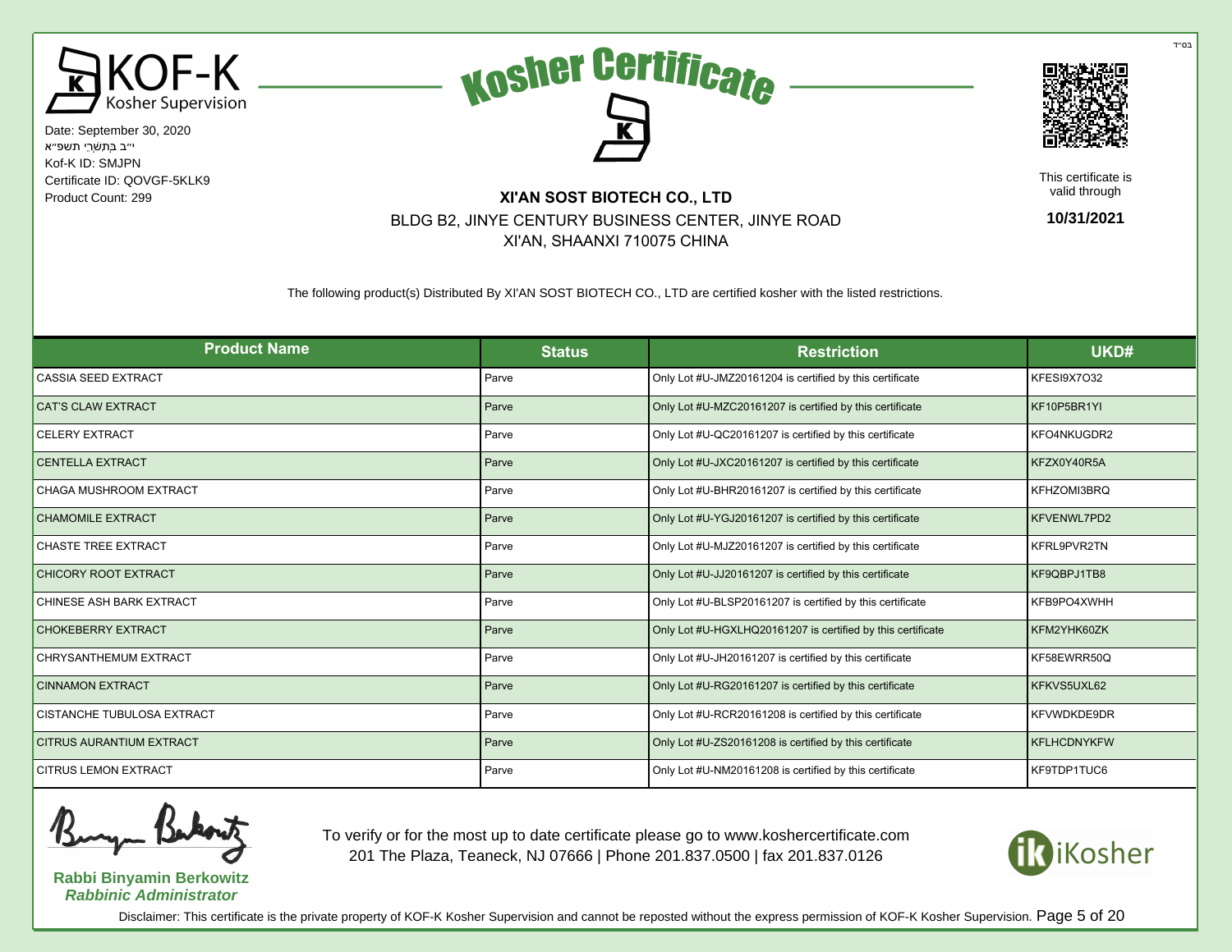





This certificate is valid through

**10/31/2021**

## Product Count: 299 **XI'AN SOST BIOTECH CO., LTD** BLDG B2, JINYE CENTURY BUSINESS CENTER, JINYE ROAD XI'AN, SHAANXI 710075 CHINA

The following product(s) Distributed By XI'AN SOST BIOTECH CO., LTD are certified kosher with the listed restrictions.

| <b>Product Name</b>             | <b>Status</b> | <b>Restriction</b>                                          | UKD#               |
|---------------------------------|---------------|-------------------------------------------------------------|--------------------|
| CASSIA SEED EXTRACT             | Parve         | Only Lot #U-JMZ20161204 is certified by this certificate    | KFESI9X7O32        |
| <b>CAT'S CLAW EXTRACT</b>       | Parve         | Only Lot #U-MZC20161207 is certified by this certificate    | KF10P5BR1YI        |
| <b>CELERY EXTRACT</b>           | Parve         | Only Lot #U-QC20161207 is certified by this certificate     | KFO4NKUGDR2        |
| <b>CENTELLA EXTRACT</b>         | Parve         | Only Lot #U-JXC20161207 is certified by this certificate    | KFZX0Y40R5A        |
| CHAGA MUSHROOM EXTRACT          | Parve         | Only Lot #U-BHR20161207 is certified by this certificate    | KFHZOMI3BRQ        |
| <b>CHAMOMILE EXTRACT</b>        | Parve         | Only Lot #U-YGJ20161207 is certified by this certificate    | KFVENWL7PD2        |
| CHASTE TREE EXTRACT             | Parve         | Only Lot #U-MJZ20161207 is certified by this certificate    | KFRL9PVR2TN        |
| <b>CHICORY ROOT EXTRACT</b>     | Parve         | Only Lot #U-JJ20161207 is certified by this certificate     | KF9QBPJ1TB8        |
| CHINESE ASH BARK EXTRACT        | Parve         | Only Lot #U-BLSP20161207 is certified by this certificate   | KFB9PO4XWHH        |
| <b>CHOKEBERRY EXTRACT</b>       | Parve         | Only Lot #U-HGXLHQ20161207 is certified by this certificate | KFM2YHK60ZK        |
| CHRYSANTHEMUM EXTRACT           | Parve         | Only Lot #U-JH20161207 is certified by this certificate     | KF58EWRR50Q        |
| <b>CINNAMON EXTRACT</b>         | Parve         | Only Lot #U-RG20161207 is certified by this certificate     | KFKVS5UXL62        |
| CISTANCHE TUBULOSA EXTRACT      | Parve         | Only Lot #U-RCR20161208 is certified by this certificate    | KFVWDKDE9DR        |
| <b>CITRUS AURANTIUM EXTRACT</b> | Parve         | Only Lot #U-ZS20161208 is certified by this certificate     | <b>KFLHCDNYKFW</b> |
| <b>CITRUS LEMON EXTRACT</b>     | Parve         | Only Lot #U-NM20161208 is certified by this certificate     | KF9TDP1TUC6        |

**Rabbi Binyamin Berkowitz Rabbinic Administrator**

To verify or for the most up to date certificate please go to www.koshercertificate.com 201 The Plaza, Teaneck, NJ 07666 | Phone 201.837.0500 | fax 201.837.0126



Disclaimer: This certificate is the private property of KOF-K Kosher Supervision and cannot be reposted without the express permission of KOF-K Kosher Supervision. Page 5 of 20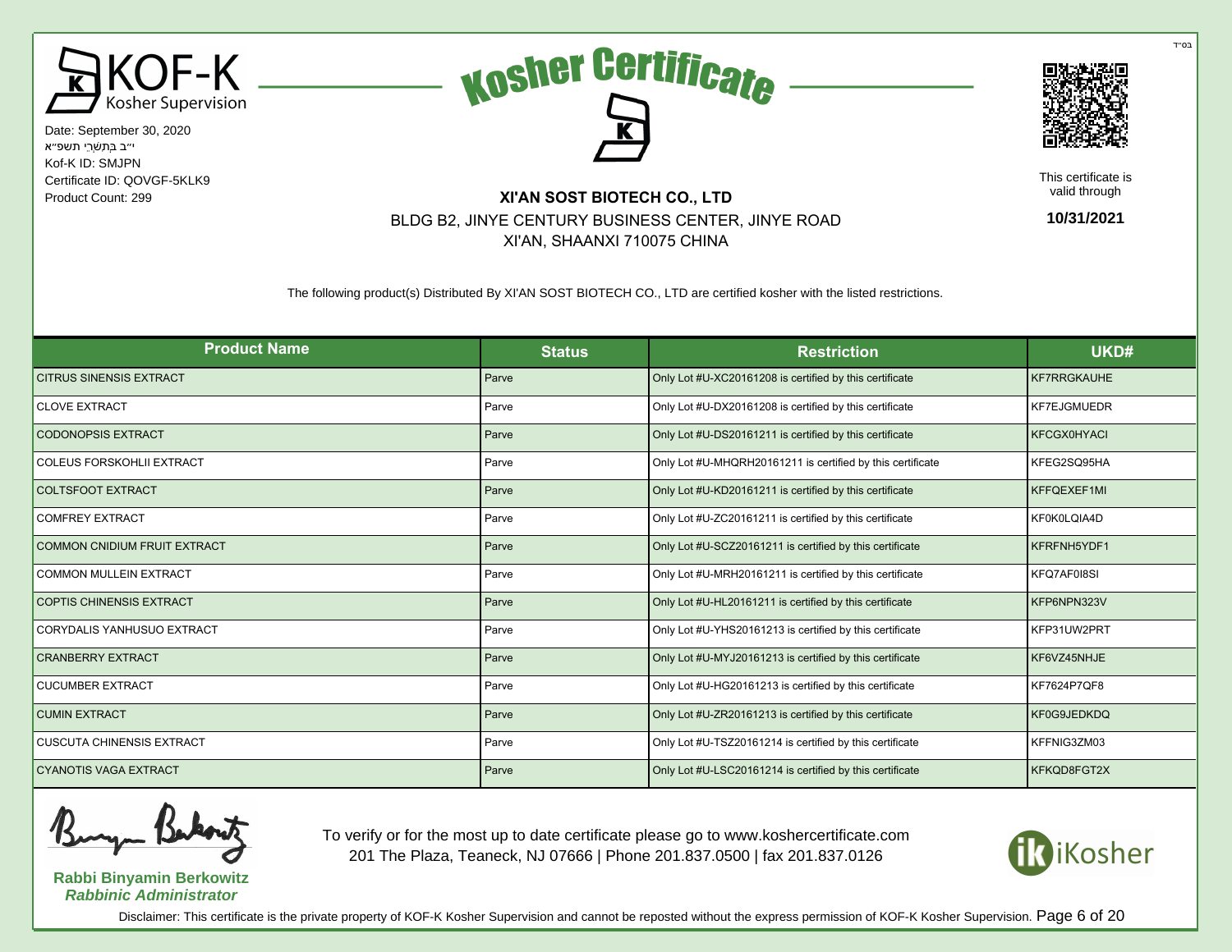





This certificate is valid through

**10/31/2021**

# Product Count: 299 **XI'AN SOST BIOTECH CO., LTD** BLDG B2, JINYE CENTURY BUSINESS CENTER, JINYE ROAD XI'AN, SHAANXI 710075 CHINA

The following product(s) Distributed By XI'AN SOST BIOTECH CO., LTD are certified kosher with the listed restrictions.

| <b>Product Name</b>                 | <b>Status</b> | <b>Restriction</b>                                         | UKD#               |
|-------------------------------------|---------------|------------------------------------------------------------|--------------------|
| <b>CITRUS SINENSIS EXTRACT</b>      | Parve         | Only Lot #U-XC20161208 is certified by this certificate    | <b>KF7RRGKAUHE</b> |
| <b>CLOVE EXTRACT</b>                | Parve         | Only Lot #U-DX20161208 is certified by this certificate    | <b>KF7EJGMUEDR</b> |
| <b>CODONOPSIS EXTRACT</b>           | Parve         | Only Lot #U-DS20161211 is certified by this certificate    | <b>KFCGX0HYACI</b> |
| <b>COLEUS FORSKOHLII EXTRACT</b>    | Parve         | Only Lot #U-MHQRH20161211 is certified by this certificate | KFEG2SQ95HA        |
| <b>COLTSFOOT EXTRACT</b>            | Parve         | Only Lot #U-KD20161211 is certified by this certificate    | KFFQEXEF1MI        |
| <b>COMFREY EXTRACT</b>              | Parve         | Only Lot #U-ZC20161211 is certified by this certificate    | KF0K0LQIA4D        |
| <b>COMMON CNIDIUM FRUIT EXTRACT</b> | Parve         | Only Lot #U-SCZ20161211 is certified by this certificate   | KFRFNH5YDF1        |
| <b>COMMON MULLEIN EXTRACT</b>       | Parve         | Only Lot #U-MRH20161211 is certified by this certificate   | KFQ7AF018SI        |
| <b>COPTIS CHINENSIS EXTRACT</b>     | Parve         | Only Lot #U-HL20161211 is certified by this certificate    | KFP6NPN323V        |
| CORYDALIS YANHUSUO EXTRACT          | Parve         | Only Lot #U-YHS20161213 is certified by this certificate   | KFP31UW2PRT        |
| <b>CRANBERRY EXTRACT</b>            | Parve         | Only Lot #U-MYJ20161213 is certified by this certificate   | KF6VZ45NHJE        |
| <b>CUCUMBER EXTRACT</b>             | Parve         | Only Lot #U-HG20161213 is certified by this certificate    | KF7624P7QF8        |
| <b>CUMIN EXTRACT</b>                | Parve         | Only Lot #U-ZR20161213 is certified by this certificate    | KF0G9JEDKDQ        |
| <b>CUSCUTA CHINENSIS EXTRACT</b>    | Parve         | Only Lot #U-TSZ20161214 is certified by this certificate   | KFFNIG3ZM03        |
| <b>CYANOTIS VAGA EXTRACT</b>        | Parve         | Only Lot #U-LSC20161214 is certified by this certificate   | KFKQD8FGT2X        |



**Rabbi Binyamin Berkowitz Rabbinic Administrator**

To verify or for the most up to date certificate please go to www.koshercertificate.com 201 The Plaza, Teaneck, NJ 07666 | Phone 201.837.0500 | fax 201.837.0126



Disclaimer: This certificate is the private property of KOF-K Kosher Supervision and cannot be reposted without the express permission of KOF-K Kosher Supervision. Page 6 of 20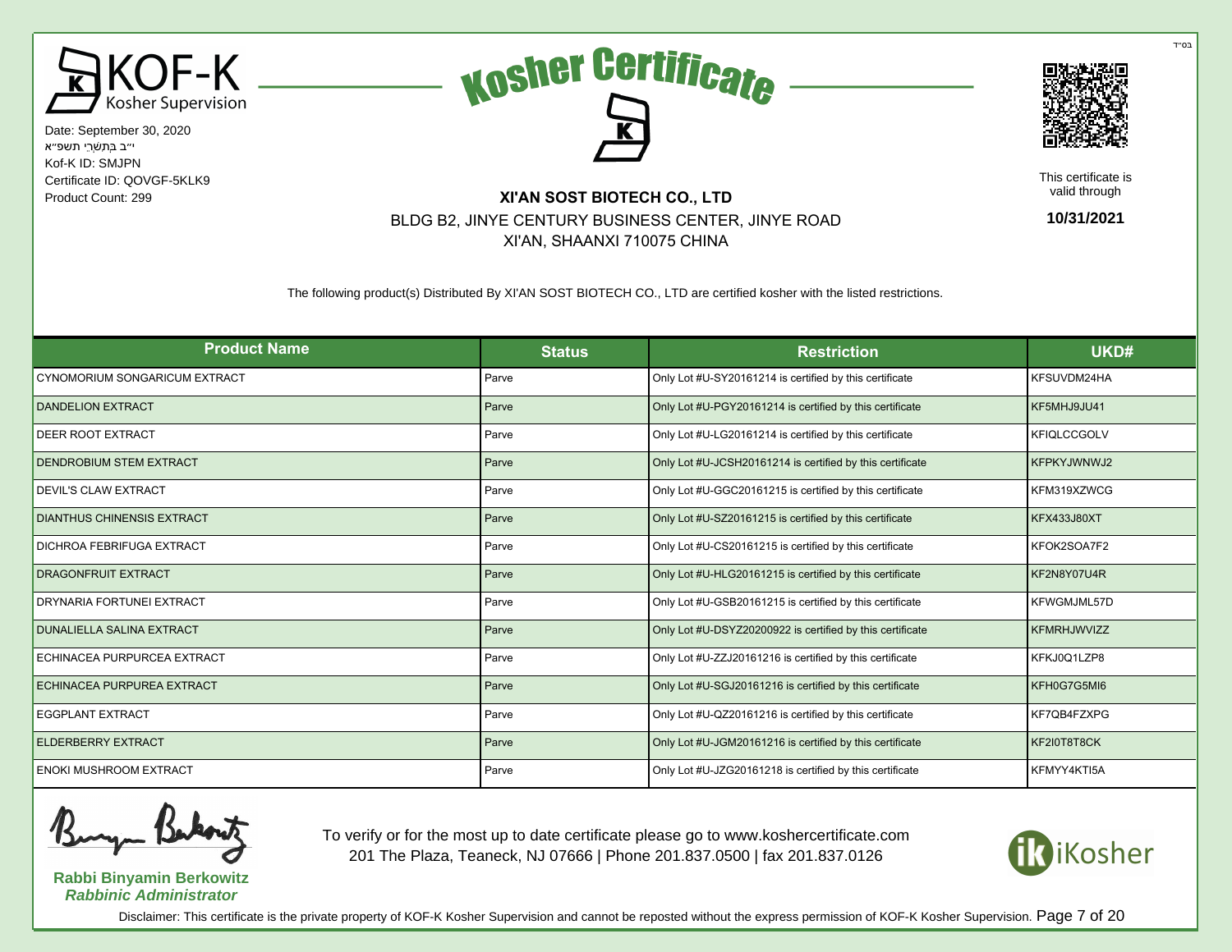





This certificate is valid through

**10/31/2021**

# Product Count: 299 **XI'AN SOST BIOTECH CO., LTD** BLDG B2, JINYE CENTURY BUSINESS CENTER, JINYE ROAD XI'AN, SHAANXI 710075 CHINA

The following product(s) Distributed By XI'AN SOST BIOTECH CO., LTD are certified kosher with the listed restrictions.

| <b>Product Name</b>               | <b>Status</b> | <b>Restriction</b>                                        | UKD#               |
|-----------------------------------|---------------|-----------------------------------------------------------|--------------------|
| CYNOMORIUM SONGARICUM EXTRACT     | Parve         | Only Lot #U-SY20161214 is certified by this certificate   | KFSUVDM24HA        |
| <b>DANDELION EXTRACT</b>          | Parve         | Only Lot #U-PGY20161214 is certified by this certificate  | KF5MHJ9JU41        |
| DEER ROOT EXTRACT                 | Parve         | Only Lot #U-LG20161214 is certified by this certificate   | <b>KFIQLCCGOLV</b> |
| DENDROBIUM STEM EXTRACT           | Parve         | Only Lot #U-JCSH20161214 is certified by this certificate | <b>KFPKYJWNWJ2</b> |
| <b>DEVIL'S CLAW EXTRACT</b>       | Parve         | Only Lot #U-GGC20161215 is certified by this certificate  | KFM319XZWCG        |
| <b>DIANTHUS CHINENSIS EXTRACT</b> | Parve         | Only Lot #U-SZ20161215 is certified by this certificate   | <b>KFX433J80XT</b> |
| DICHROA FEBRIFUGA EXTRACT         | Parve         | Only Lot #U-CS20161215 is certified by this certificate   | KFOK2SOA7F2        |
| DRAGONFRUIT EXTRACT               | Parve         | Only Lot #U-HLG20161215 is certified by this certificate  | KF2N8Y07U4R        |
| DRYNARIA FORTUNEI EXTRACT         | Parve         | Only Lot #U-GSB20161215 is certified by this certificate  | KFWGMJML57D        |
| <b>DUNALIELLA SALINA EXTRACT</b>  | Parve         | Only Lot #U-DSYZ20200922 is certified by this certificate | KFMRHJWVIZZ        |
| ECHINACEA PURPURCEA EXTRACT       | Parve         | Only Lot #U-ZZJ20161216 is certified by this certificate  | KFKJ0Q1LZP8        |
| ECHINACEA PURPUREA EXTRACT        | Parve         | Only Lot #U-SGJ20161216 is certified by this certificate  | KFH0G7G5MI6        |
| <b>EGGPLANT EXTRACT</b>           | Parve         | Only Lot #U-QZ20161216 is certified by this certificate   | KF7QB4FZXPG        |
| <b>ELDERBERRY EXTRACT</b>         | Parve         | Only Lot #U-JGM20161216 is certified by this certificate  | KF2I0T8T8CK        |
| <b>ENOKI MUSHROOM EXTRACT</b>     | Parve         | Only Lot #U-JZG20161218 is certified by this certificate  | KFMYY4KTI5A        |

**Rabbi Binyamin Berkowitz Rabbinic Administrator**

To verify or for the most up to date certificate please go to www.koshercertificate.com 201 The Plaza, Teaneck, NJ 07666 | Phone 201.837.0500 | fax 201.837.0126



Disclaimer: This certificate is the private property of KOF-K Kosher Supervision and cannot be reposted without the express permission of KOF-K Kosher Supervision. Page 7 of 20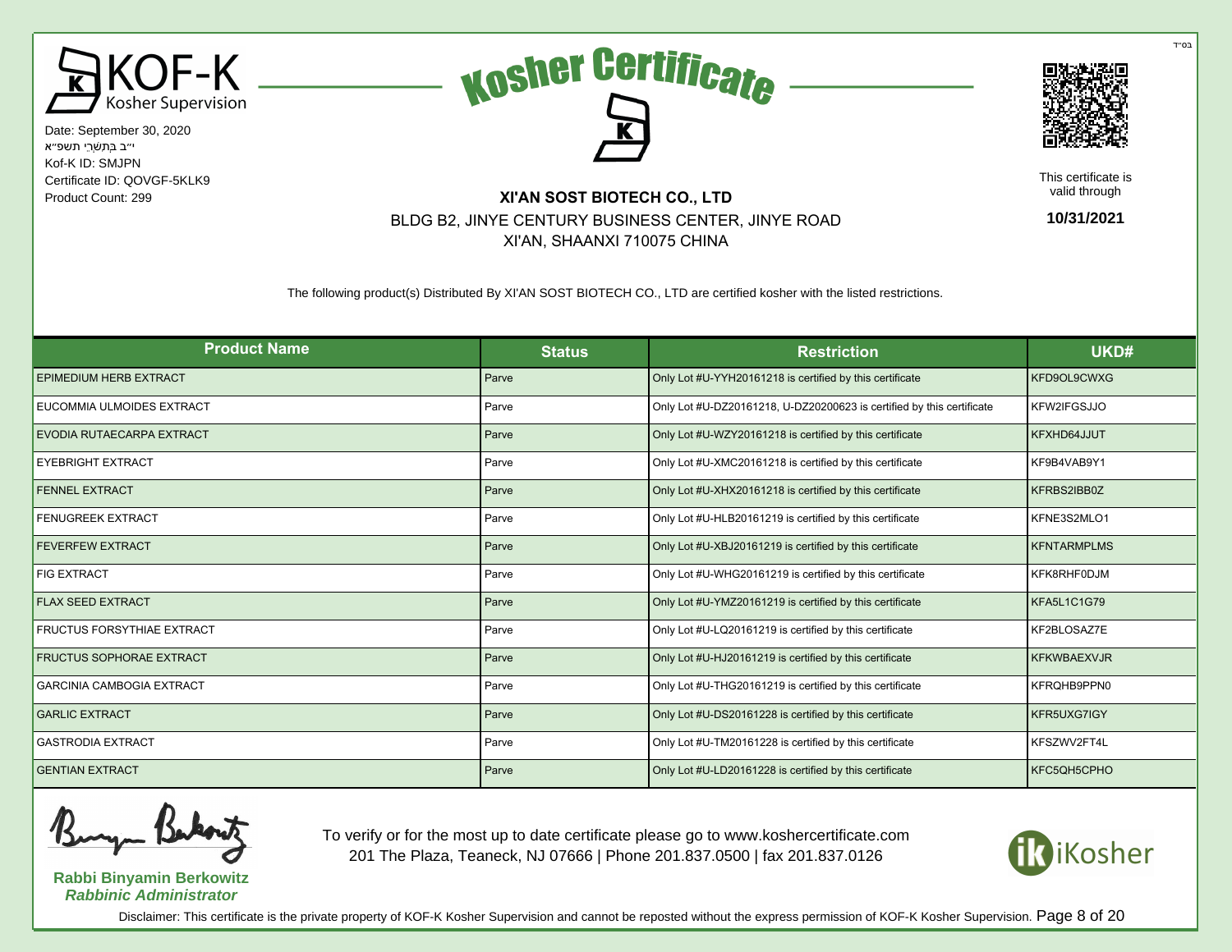





This certificate is valid through

**10/31/2021**

#### Product Count: 299 **XI'AN SOST BIOTECH CO., LTD** BLDG B2, JINYE CENTURY BUSINESS CENTER, JINYE ROAD XI'AN, SHAANXI 710075 CHINA

The following product(s) Distributed By XI'AN SOST BIOTECH CO., LTD are certified kosher with the listed restrictions.

| <b>Product Name</b>               | <b>Status</b> | <b>Restriction</b>                                                    | UKD#               |
|-----------------------------------|---------------|-----------------------------------------------------------------------|--------------------|
| <b>EPIMEDIUM HERB EXTRACT</b>     | Parve         | Only Lot #U-YYH20161218 is certified by this certificate              | KFD9OL9CWXG        |
| EUCOMMIA ULMOIDES EXTRACT         | Parve         | Only Lot #U-DZ20161218, U-DZ20200623 is certified by this certificate | KFW2IFGSJJO        |
| EVODIA RUTAECARPA EXTRACT         | Parve         | Only Lot #U-WZY20161218 is certified by this certificate              | KFXHD64JJUT        |
| <b>EYEBRIGHT EXTRACT</b>          | Parve         | Only Lot #U-XMC20161218 is certified by this certificate              | KF9B4VAB9Y1        |
| <b>FENNEL EXTRACT</b>             | Parve         | Only Lot #U-XHX20161218 is certified by this certificate              | KFRBS2IBB0Z        |
| <b>FENUGREEK EXTRACT</b>          | Parve         | Only Lot #U-HLB20161219 is certified by this certificate              | KFNE3S2MLO1        |
| <b>FEVERFEW EXTRACT</b>           | Parve         | Only Lot #U-XBJ20161219 is certified by this certificate              | <b>KFNTARMPLMS</b> |
| <b>FIG EXTRACT</b>                | Parve         | Only Lot #U-WHG20161219 is certified by this certificate              | KFK8RHF0DJM        |
| <b>FLAX SEED EXTRACT</b>          | Parve         | Only Lot #U-YMZ20161219 is certified by this certificate              | <b>KFA5L1C1G79</b> |
| <b>FRUCTUS FORSYTHIAE EXTRACT</b> | Parve         | Only Lot #U-LQ20161219 is certified by this certificate               | KF2BLOSAZ7E        |
| <b>FRUCTUS SOPHORAE EXTRACT</b>   | Parve         | Only Lot #U-HJ20161219 is certified by this certificate               | <b>KFKWBAEXVJR</b> |
| <b>GARCINIA CAMBOGIA EXTRACT</b>  | Parve         | Only Lot #U-THG20161219 is certified by this certificate              | KFRQHB9PPN0        |
| <b>GARLIC EXTRACT</b>             | Parve         | Only Lot #U-DS20161228 is certified by this certificate               | KFR5UXG7IGY        |
| <b>GASTRODIA EXTRACT</b>          | Parve         | Only Lot #U-TM20161228 is certified by this certificate               | KFSZWV2FT4L        |
| <b>GENTIAN EXTRACT</b>            | Parve         | Only Lot #U-LD20161228 is certified by this certificate               | KFC5QH5CPHO        |

**Rabbi Binyamin Berkowitz Rabbinic Administrator**

To verify or for the most up to date certificate please go to www.koshercertificate.com 201 The Plaza, Teaneck, NJ 07666 | Phone 201.837.0500 | fax 201.837.0126



Disclaimer: This certificate is the private property of KOF-K Kosher Supervision and cannot be reposted without the express permission of KOF-K Kosher Supervision. Page 8 of 20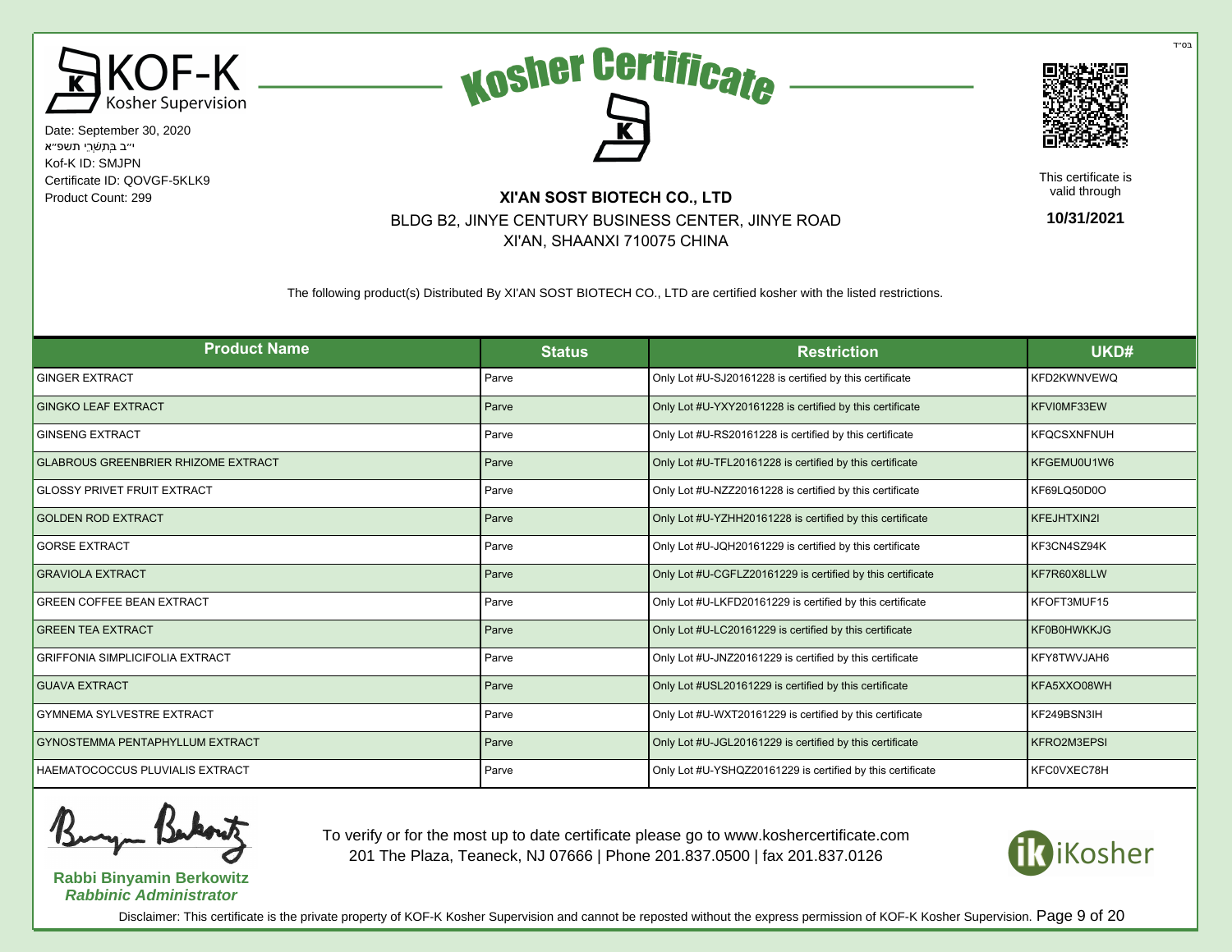





This certificate is valid through

**10/31/2021**

# Product Count: 299 **XI'AN SOST BIOTECH CO., LTD** BLDG B2, JINYE CENTURY BUSINESS CENTER, JINYE ROAD XI'AN, SHAANXI 710075 CHINA

The following product(s) Distributed By XI'AN SOST BIOTECH CO., LTD are certified kosher with the listed restrictions.

| <b>Product Name</b>                        | <b>Status</b> | <b>Restriction</b>                                         | UKD#               |
|--------------------------------------------|---------------|------------------------------------------------------------|--------------------|
| <b>GINGER EXTRACT</b>                      | Parve         | Only Lot #U-SJ20161228 is certified by this certificate    | KFD2KWNVEWQ        |
| <b>GINGKO LEAF EXTRACT</b>                 | Parve         | Only Lot #U-YXY20161228 is certified by this certificate   | KFVI0MF33EW        |
| <b>GINSENG EXTRACT</b>                     | Parve         | Only Lot #U-RS20161228 is certified by this certificate    | <b>KFQCSXNFNUH</b> |
| <b>GLABROUS GREENBRIER RHIZOME EXTRACT</b> | Parve         | Only Lot #U-TFL20161228 is certified by this certificate   | KFGEMU0U1W6        |
| <b>GLOSSY PRIVET FRUIT EXTRACT</b>         | Parve         | Only Lot #U-NZZ20161228 is certified by this certificate   | KF69LQ50D0O        |
| <b>GOLDEN ROD EXTRACT</b>                  | Parve         | Only Lot #U-YZHH20161228 is certified by this certificate  | KFEJHTXIN2I        |
| <b>GORSE EXTRACT</b>                       | Parve         | Only Lot #U-JQH20161229 is certified by this certificate   | KF3CN4SZ94K        |
| <b>GRAVIOLA EXTRACT</b>                    | Parve         | Only Lot #U-CGFLZ20161229 is certified by this certificate | KF7R60X8LLW        |
| <b>GREEN COFFEE BEAN EXTRACT</b>           | Parve         | Only Lot #U-LKFD20161229 is certified by this certificate  | KFOFT3MUF15        |
| <b>GREEN TEA EXTRACT</b>                   | Parve         | Only Lot #U-LC20161229 is certified by this certificate    | <b>KF0B0HWKKJG</b> |
| <b>GRIFFONIA SIMPLICIFOLIA EXTRACT</b>     | Parve         | Only Lot #U-JNZ20161229 is certified by this certificate   | KFY8TWVJAH6        |
| <b>GUAVA EXTRACT</b>                       | Parve         | Only Lot #USL20161229 is certified by this certificate     | KFA5XXO08WH        |
| <b>GYMNEMA SYLVESTRE EXTRACT</b>           | Parve         | Only Lot #U-WXT20161229 is certified by this certificate   | KF249BSN3IH        |
| GYNOSTEMMA PENTAPHYLLUM EXTRACT            | Parve         | Only Lot #U-JGL20161229 is certified by this certificate   | KFRO2M3EPSI        |
| HAEMATOCOCCUS PLUVIALIS EXTRACT            | Parve         | Only Lot #U-YSHQZ20161229 is certified by this certificate | KFC0VXEC78H        |



**Rabbi Binyamin Berkowitz Rabbinic Administrator**

To verify or for the most up to date certificate please go to www.koshercertificate.com 201 The Plaza, Teaneck, NJ 07666 | Phone 201.837.0500 | fax 201.837.0126



Disclaimer: This certificate is the private property of KOF-K Kosher Supervision and cannot be reposted without the express permission of KOF-K Kosher Supervision. Page 9 of 20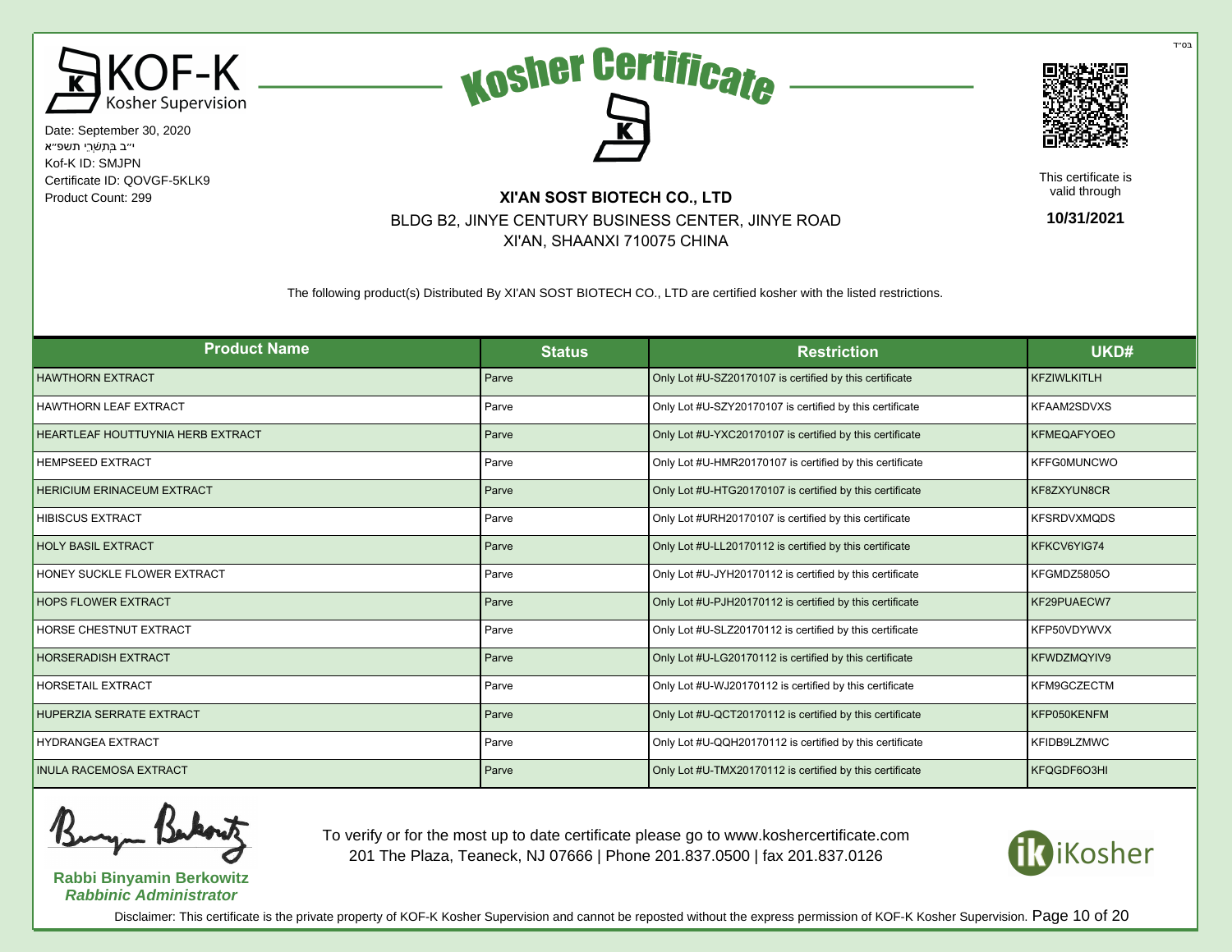





This certificate is valid through

**10/31/2021**

# Product Count: 299 **XI'AN SOST BIOTECH CO., LTD** BLDG B2, JINYE CENTURY BUSINESS CENTER, JINYE ROAD XI'AN, SHAANXI 710075 CHINA

The following product(s) Distributed By XI'AN SOST BIOTECH CO., LTD are certified kosher with the listed restrictions.

| <b>Product Name</b>               | <b>Status</b> | <b>Restriction</b>                                       | UKD#               |
|-----------------------------------|---------------|----------------------------------------------------------|--------------------|
| <b>HAWTHORN EXTRACT</b>           | Parve         | Only Lot #U-SZ20170107 is certified by this certificate  | <b>KFZIWLKITLH</b> |
| <b>HAWTHORN LEAF EXTRACT</b>      | Parve         | Only Lot #U-SZY20170107 is certified by this certificate | KFAAM2SDVXS        |
| HEARTLEAF HOUTTUYNIA HERB EXTRACT | Parve         | Only Lot #U-YXC20170107 is certified by this certificate | <b>KFMEQAFYOEO</b> |
| <b>HEMPSEED EXTRACT</b>           | Parve         | Only Lot #U-HMR20170107 is certified by this certificate | <b>KFFG0MUNCWO</b> |
| <b>HERICIUM ERINACEUM EXTRACT</b> | Parve         | Only Lot #U-HTG20170107 is certified by this certificate | KF8ZXYUN8CR        |
| <b>HIBISCUS EXTRACT</b>           | Parve         | Only Lot #URH20170107 is certified by this certificate   | <b>KFSRDVXMQDS</b> |
| <b>HOLY BASIL EXTRACT</b>         | Parve         | Only Lot #U-LL20170112 is certified by this certificate  | KFKCV6YIG74        |
| HONEY SUCKLE FLOWER EXTRACT       | Parve         | Only Lot #U-JYH20170112 is certified by this certificate | KFGMDZ5805O        |
| <b>HOPS FLOWER EXTRACT</b>        | Parve         | Only Lot #U-PJH20170112 is certified by this certificate | KF29PUAECW7        |
| HORSE CHESTNUT EXTRACT            | Parve         | Only Lot #U-SLZ20170112 is certified by this certificate | KFP50VDYWVX        |
| <b>HORSERADISH EXTRACT</b>        | Parve         | Only Lot #U-LG20170112 is certified by this certificate  | <b>KFWDZMQYIV9</b> |
| <b>HORSETAIL EXTRACT</b>          | Parve         | Only Lot #U-WJ20170112 is certified by this certificate  | KFM9GCZECTM        |
| <b>HUPERZIA SERRATE EXTRACT</b>   | Parve         | Only Lot #U-QCT20170112 is certified by this certificate | KFP050KENFM        |
| <b>HYDRANGEA EXTRACT</b>          | Parve         | Only Lot #U-QQH20170112 is certified by this certificate | KFIDB9LZMWC        |
| <b>INULA RACEMOSA EXTRACT</b>     | Parve         | Only Lot #U-TMX20170112 is certified by this certificate | KFQGDF6O3HI        |

**Rabbi Binyamin Berkowitz Rabbinic Administrator**

To verify or for the most up to date certificate please go to www.koshercertificate.com 201 The Plaza, Teaneck, NJ 07666 | Phone 201.837.0500 | fax 201.837.0126



Disclaimer: This certificate is the private property of KOF-K Kosher Supervision and cannot be reposted without the express permission of KOF-K Kosher Supervision. Page 10 of 20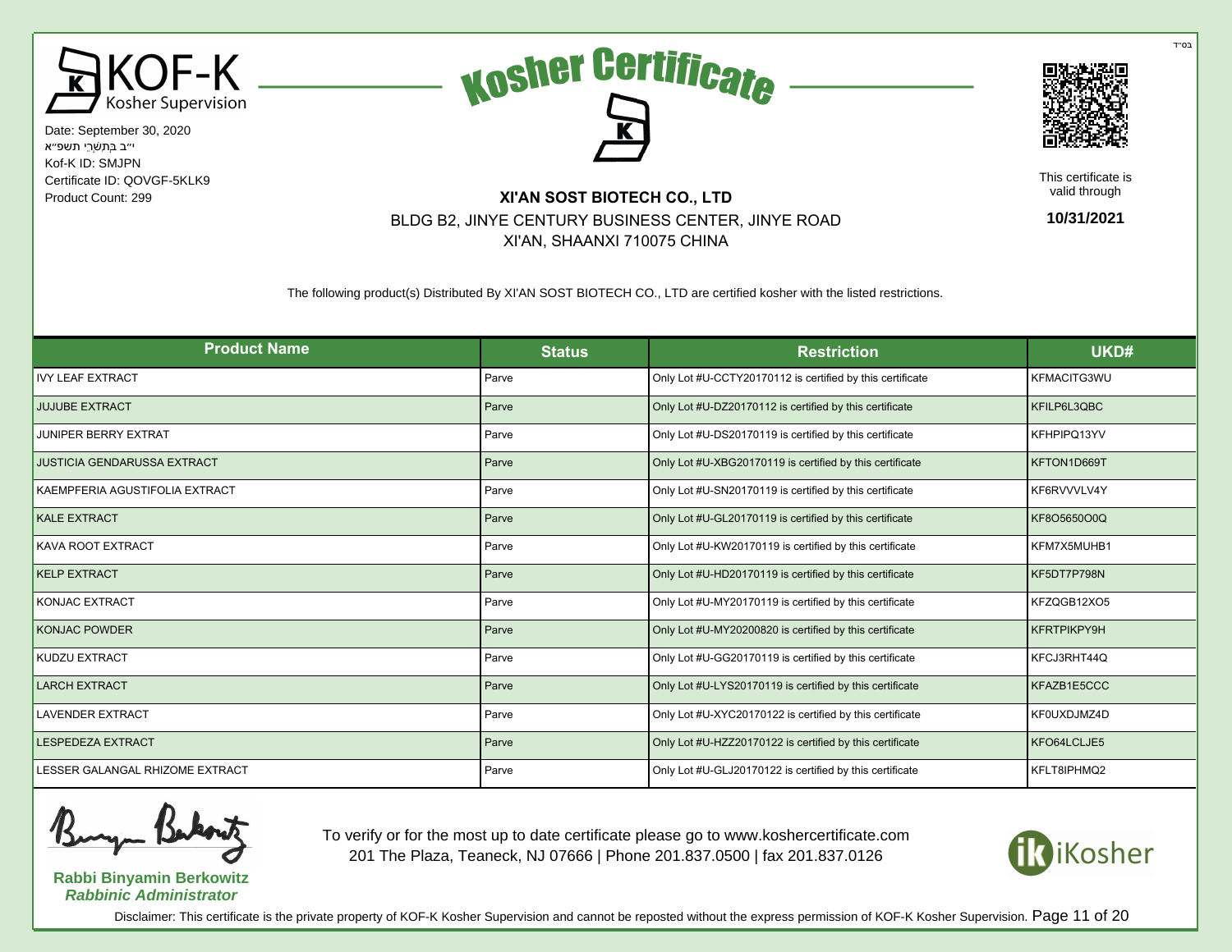





This certificate is valid through

**10/31/2021**

# Product Count: 299 **XI'AN SOST BIOTECH CO., LTD** BLDG B2, JINYE CENTURY BUSINESS CENTER, JINYE ROAD XI'AN, SHAANXI 710075 CHINA

The following product(s) Distributed By XI'AN SOST BIOTECH CO., LTD are certified kosher with the listed restrictions.

| <b>Product Name</b>                | <b>Status</b> | <b>Restriction</b>                                        | UKD#               |
|------------------------------------|---------------|-----------------------------------------------------------|--------------------|
| <b>IVY LEAF EXTRACT</b>            | Parve         | Only Lot #U-CCTY20170112 is certified by this certificate | KFMACITG3WU        |
| <b>JUJUBE EXTRACT</b>              | Parve         | Only Lot #U-DZ20170112 is certified by this certificate   | KFILP6L3QBC        |
| <b>JUNIPER BERRY EXTRAT</b>        | Parve         | Only Lot #U-DS20170119 is certified by this certificate   | KFHPIPQ13YV        |
| <b>JUSTICIA GENDARUSSA EXTRACT</b> | Parve         | Only Lot #U-XBG20170119 is certified by this certificate  | KFTON1D669T        |
| KAEMPFERIA AGUSTIFOLIA EXTRACT     | Parve         | Only Lot #U-SN20170119 is certified by this certificate   | KF6RVVVLV4Y        |
| <b>KALE EXTRACT</b>                | Parve         | Only Lot #U-GL20170119 is certified by this certificate   | KF8O5650O0Q        |
| KAVA ROOT EXTRACT                  | Parve         | Only Lot #U-KW20170119 is certified by this certificate   | KFM7X5MUHB1        |
| <b>KELP EXTRACT</b>                | Parve         | Only Lot #U-HD20170119 is certified by this certificate   | KF5DT7P798N        |
| <b>KONJAC EXTRACT</b>              | Parve         | Only Lot #U-MY20170119 is certified by this certificate   | KFZQGB12XO5        |
| <b>KONJAC POWDER</b>               | Parve         | Only Lot #U-MY20200820 is certified by this certificate   | <b>KFRTPIKPY9H</b> |
| KUDZU EXTRACT                      | Parve         | Only Lot #U-GG20170119 is certified by this certificate   | KFCJ3RHT44Q        |
| <b>LARCH EXTRACT</b>               | Parve         | Only Lot #U-LYS20170119 is certified by this certificate  | KFAZB1E5CCC        |
| <b>LAVENDER EXTRACT</b>            | Parve         | Only Lot #U-XYC20170122 is certified by this certificate  | KF0UXDJMZ4D        |
| <b>LESPEDEZA EXTRACT</b>           | Parve         | Only Lot #U-HZZ20170122 is certified by this certificate  | KFO64LCLJE5        |
| LESSER GALANGAL RHIZOME EXTRACT    | Parve         | Only Lot #U-GLJ20170122 is certified by this certificate  | KFLT8IPHMQ2        |



**Rabbi Binyamin Berkowitz Rabbinic Administrator**

To verify or for the most up to date certificate please go to www.koshercertificate.com 201 The Plaza, Teaneck, NJ 07666 | Phone 201.837.0500 | fax 201.837.0126



Disclaimer: This certificate is the private property of KOF-K Kosher Supervision and cannot be reposted without the express permission of KOF-K Kosher Supervision. Page 11 of 20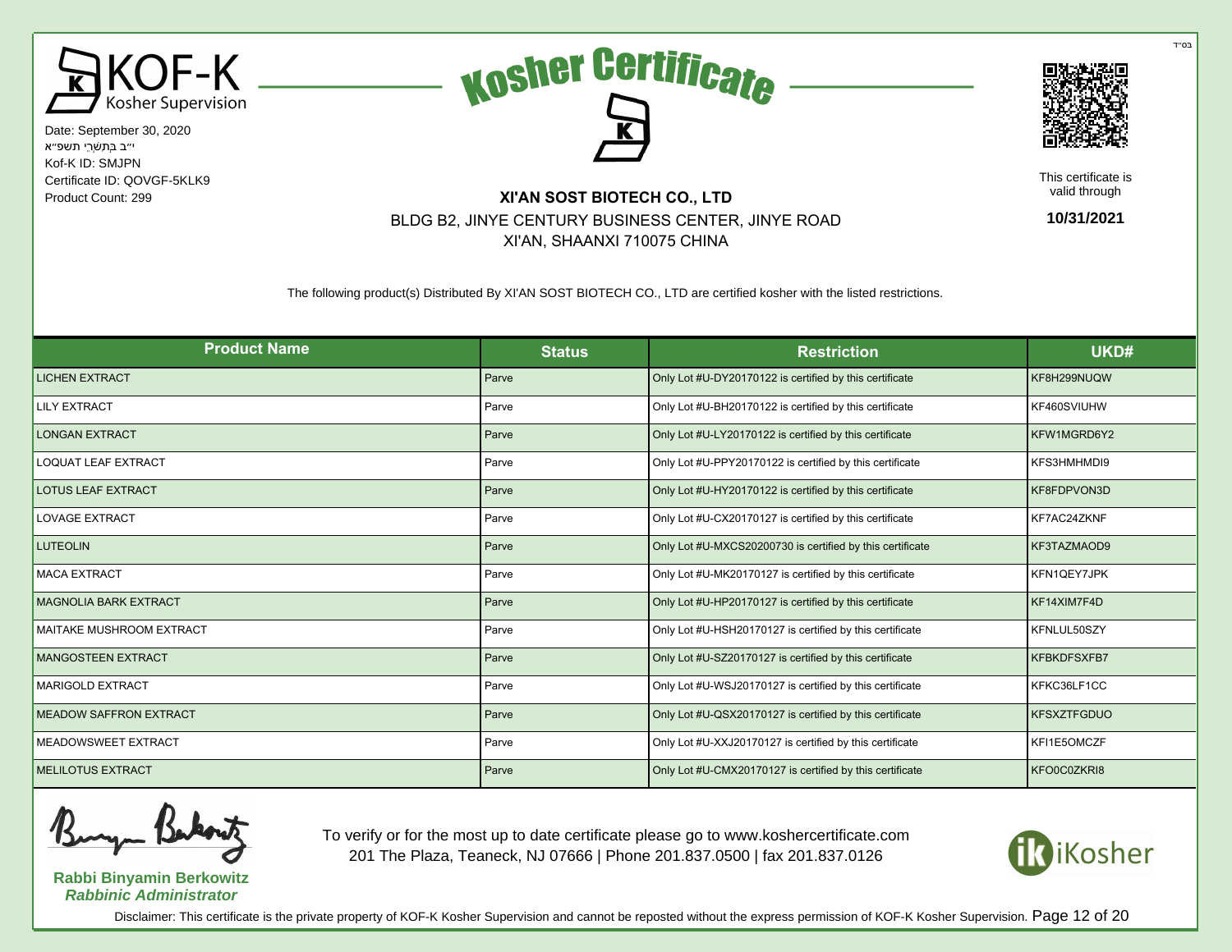





This certificate is valid through

**10/31/2021**

# Product Count: 299 **XI'AN SOST BIOTECH CO., LTD** BLDG B2, JINYE CENTURY BUSINESS CENTER, JINYE ROAD XI'AN, SHAANXI 710075 CHINA

The following product(s) Distributed By XI'AN SOST BIOTECH CO., LTD are certified kosher with the listed restrictions.

| <b>Product Name</b>             | <b>Status</b> | <b>Restriction</b>                                        | UKD#               |
|---------------------------------|---------------|-----------------------------------------------------------|--------------------|
| <b>LICHEN EXTRACT</b>           | Parve         | Only Lot #U-DY20170122 is certified by this certificate   | KF8H299NUQW        |
| <b>LILY EXTRACT</b>             | Parve         | Only Lot #U-BH20170122 is certified by this certificate   | KF460SVIUHW        |
| <b>LONGAN EXTRACT</b>           | Parve         | Only Lot #U-LY20170122 is certified by this certificate   | KFW1MGRD6Y2        |
| <b>LOQUAT LEAF EXTRACT</b>      | Parve         | Only Lot #U-PPY20170122 is certified by this certificate  | KFS3HMHMDI9        |
| <b>LOTUS LEAF EXTRACT</b>       | Parve         | Only Lot #U-HY20170122 is certified by this certificate   | KF8FDPVON3D        |
| <b>LOVAGE EXTRACT</b>           | Parve         | Only Lot #U-CX20170127 is certified by this certificate   | KF7AC24ZKNF        |
| <b>LUTEOLIN</b>                 | Parve         | Only Lot #U-MXCS20200730 is certified by this certificate | KF3TAZMAOD9        |
| <b>MACA EXTRACT</b>             | Parve         | Only Lot #U-MK20170127 is certified by this certificate   | KFN1QEY7JPK        |
| <b>MAGNOLIA BARK EXTRACT</b>    | Parve         | Only Lot #U-HP20170127 is certified by this certificate   | KF14XIM7F4D        |
| <b>MAITAKE MUSHROOM EXTRACT</b> | Parve         | Only Lot #U-HSH20170127 is certified by this certificate  | KFNLUL50SZY        |
| <b>MANGOSTEEN EXTRACT</b>       | Parve         | Only Lot #U-SZ20170127 is certified by this certificate   | <b>KFBKDFSXFB7</b> |
| <b>MARIGOLD EXTRACT</b>         | Parve         | Only Lot #U-WSJ20170127 is certified by this certificate  | KFKC36LF1CC        |
| <b>MEADOW SAFFRON EXTRACT</b>   | Parve         | Only Lot #U-QSX20170127 is certified by this certificate  | <b>KFSXZTFGDUO</b> |
| MEADOWSWEET EXTRACT             | Parve         | Only Lot #U-XXJ20170127 is certified by this certificate  | KFI1E5OMCZF        |
| <b>MELILOTUS EXTRACT</b>        | Parve         | Only Lot #U-CMX20170127 is certified by this certificate  | KFO0C0ZKRI8        |

**Rabbi Binyamin Berkowitz Rabbinic Administrator**

To verify or for the most up to date certificate please go to www.koshercertificate.com 201 The Plaza, Teaneck, NJ 07666 | Phone 201.837.0500 | fax 201.837.0126



Disclaimer: This certificate is the private property of KOF-K Kosher Supervision and cannot be reposted without the express permission of KOF-K Kosher Supervision. Page 12 of 20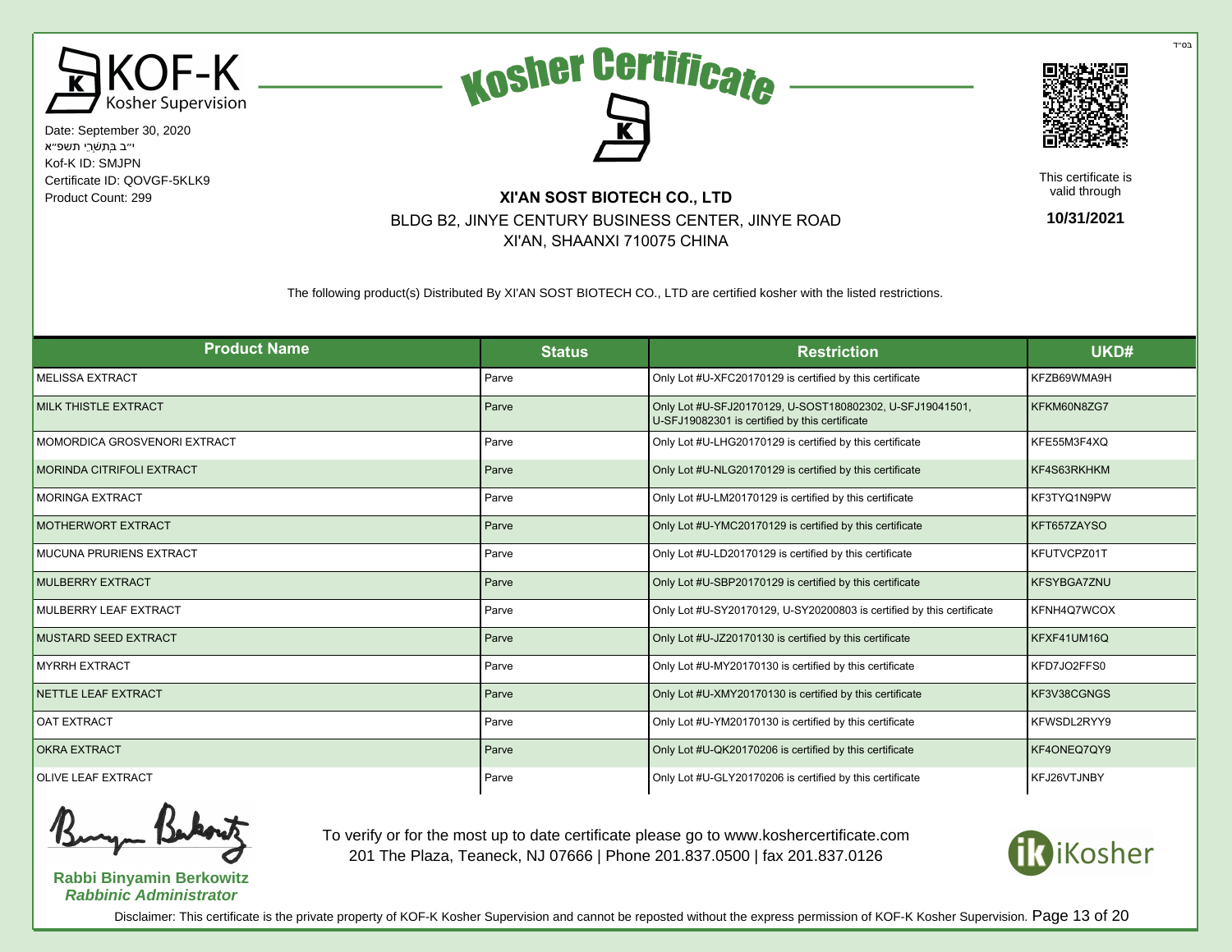





This certificate is valid through

**10/31/2021**

# Product Count: 299 **XI'AN SOST BIOTECH CO., LTD** BLDG B2, JINYE CENTURY BUSINESS CENTER, JINYE ROAD XI'AN, SHAANXI 710075 CHINA

The following product(s) Distributed By XI'AN SOST BIOTECH CO., LTD are certified kosher with the listed restrictions.

| <b>Product Name</b>              | <b>Status</b> | <b>Restriction</b>                                                                                         | UKD#               |
|----------------------------------|---------------|------------------------------------------------------------------------------------------------------------|--------------------|
| <b>MELISSA EXTRACT</b>           | Parve         | Only Lot #U-XFC20170129 is certified by this certificate                                                   | KFZB69WMA9H        |
| <b>MILK THISTLE EXTRACT</b>      | Parve         | Only Lot #U-SFJ20170129, U-SOST180802302, U-SFJ19041501,<br>U-SFJ19082301 is certified by this certificate | KFKM60N8ZG7        |
| MOMORDICA GROSVENORI EXTRACT     | Parve         | Only Lot #U-LHG20170129 is certified by this certificate                                                   | KFE55M3F4XQ        |
| <b>MORINDA CITRIFOLI EXTRACT</b> | Parve         | Only Lot #U-NLG20170129 is certified by this certificate                                                   | KF4S63RKHKM        |
| <b>MORINGA EXTRACT</b>           | Parve         | Only Lot #U-LM20170129 is certified by this certificate                                                    | KF3TYQ1N9PW        |
| <b>MOTHERWORT EXTRACT</b>        | Parve         | Only Lot #U-YMC20170129 is certified by this certificate                                                   | KFT657ZAYSO        |
| <b>MUCUNA PRURIENS EXTRACT</b>   | Parve         | Only Lot #U-LD20170129 is certified by this certificate                                                    | KFUTVCPZ01T        |
| <b>MULBERRY EXTRACT</b>          | Parve         | Only Lot #U-SBP20170129 is certified by this certificate                                                   | <b>KFSYBGA7ZNU</b> |
| MULBERRY LEAF EXTRACT            | Parve         | Only Lot #U-SY20170129, U-SY20200803 is certified by this certificate                                      | KFNH4Q7WCOX        |
| <b>MUSTARD SEED EXTRACT</b>      | Parve         | Only Lot #U-JZ20170130 is certified by this certificate                                                    | KFXF41UM16Q        |
| <b>MYRRH EXTRACT</b>             | Parve         | Only Lot #U-MY20170130 is certified by this certificate                                                    | KFD7JO2FFS0        |
| NETTLE LEAF EXTRACT              | Parve         | Only Lot #U-XMY20170130 is certified by this certificate                                                   | KF3V38CGNGS        |
| <b>OAT EXTRACT</b>               | Parve         | Only Lot #U-YM20170130 is certified by this certificate                                                    | KFWSDL2RYY9        |
| <b>OKRA EXTRACT</b>              | Parve         | Only Lot #U-QK20170206 is certified by this certificate                                                    | KF4ONEQ7QY9        |
| <b>OLIVE LEAF EXTRACT</b>        | Parve         | Only Lot #U-GLY20170206 is certified by this certificate                                                   | KFJ26VTJNBY        |



**Rabbi Binyamin Berkowitz Rabbinic Administrator**

To verify or for the most up to date certificate please go to www.koshercertificate.com 201 The Plaza, Teaneck, NJ 07666 | Phone 201.837.0500 | fax 201.837.0126



Disclaimer: This certificate is the private property of KOF-K Kosher Supervision and cannot be reposted without the express permission of KOF-K Kosher Supervision. Page 13 of 20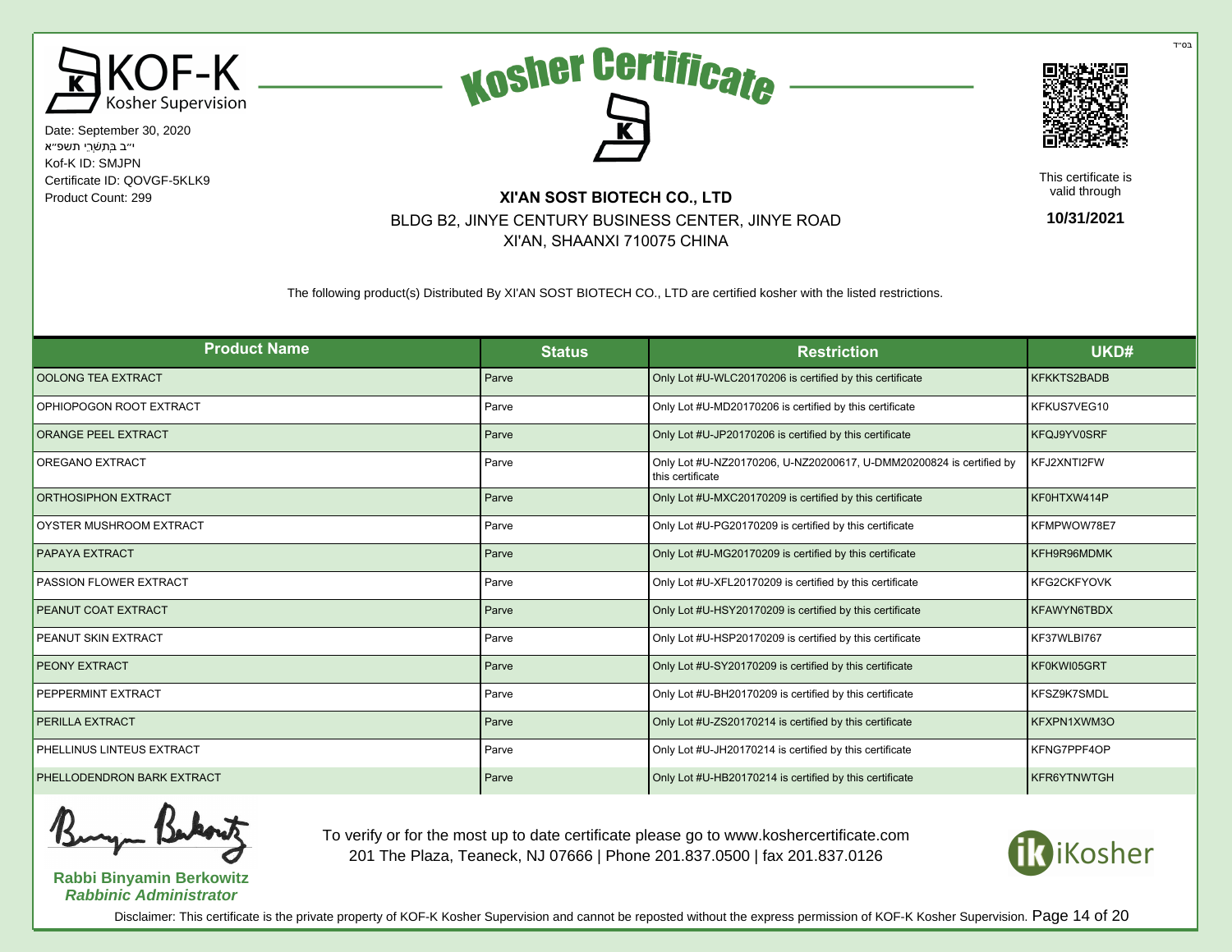





This certificate is valid through

**10/31/2021**

# Product Count: 299 **XI'AN SOST BIOTECH CO., LTD** BLDG B2, JINYE CENTURY BUSINESS CENTER, JINYE ROAD XI'AN, SHAANXI 710075 CHINA

The following product(s) Distributed By XI'AN SOST BIOTECH CO., LTD are certified kosher with the listed restrictions.

| <b>Product Name</b>           | <b>Status</b> | <b>Restriction</b>                                                                      | UKD#               |
|-------------------------------|---------------|-----------------------------------------------------------------------------------------|--------------------|
| OOLONG TEA EXTRACT            | Parve         | Only Lot #U-WLC20170206 is certified by this certificate                                | <b>KFKKTS2BADB</b> |
| OPHIOPOGON ROOT EXTRACT       | Parve         | Only Lot #U-MD20170206 is certified by this certificate                                 | KFKUS7VEG10        |
| <b>ORANGE PEEL EXTRACT</b>    | Parve         | Only Lot #U-JP20170206 is certified by this certificate                                 | KFQJ9YV0SRF        |
| OREGANO EXTRACT               | Parve         | Only Lot #U-NZ20170206, U-NZ20200617, U-DMM20200824 is certified by<br>this certificate | KFJ2XNTI2FW        |
| ORTHOSIPHON EXTRACT           | Parve         | Only Lot #U-MXC20170209 is certified by this certificate                                | KF0HTXW414P        |
| OYSTER MUSHROOM EXTRACT       | Parve         | Only Lot #U-PG20170209 is certified by this certificate                                 | KFMPWOW78E7        |
| <b>PAPAYA EXTRACT</b>         | Parve         | Only Lot #U-MG20170209 is certified by this certificate                                 | KFH9R96MDMK        |
| <b>PASSION FLOWER EXTRACT</b> | Parve         | Only Lot #U-XFL20170209 is certified by this certificate                                | <b>KFG2CKFYOVK</b> |
| PEANUT COAT EXTRACT           | Parve         | Only Lot #U-HSY20170209 is certified by this certificate                                | <b>KFAWYN6TBDX</b> |
| PEANUT SKIN EXTRACT           | Parve         | Only Lot #U-HSP20170209 is certified by this certificate                                | KF37WLBI767        |
| <b>PEONY EXTRACT</b>          | Parve         | Only Lot #U-SY20170209 is certified by this certificate                                 | KF0KWI05GRT        |
| PEPPERMINT EXTRACT            | Parve         | Only Lot #U-BH20170209 is certified by this certificate                                 | KFSZ9K7SMDL        |
| PERILLA EXTRACT               | Parve         | Only Lot #U-ZS20170214 is certified by this certificate                                 | KFXPN1XWM3O        |
| PHELLINUS LINTEUS EXTRACT     | Parve         | Only Lot #U-JH20170214 is certified by this certificate                                 | KFNG7PPF4OP        |
| PHELLODENDRON BARK EXTRACT    | Parve         | Only Lot #U-HB20170214 is certified by this certificate                                 | <b>KFR6YTNWTGH</b> |



**Rabbi Binyamin Berkowitz Rabbinic Administrator**

To verify or for the most up to date certificate please go to www.koshercertificate.com 201 The Plaza, Teaneck, NJ 07666 | Phone 201.837.0500 | fax 201.837.0126



Disclaimer: This certificate is the private property of KOF-K Kosher Supervision and cannot be reposted without the express permission of KOF-K Kosher Supervision. Page 14 of 20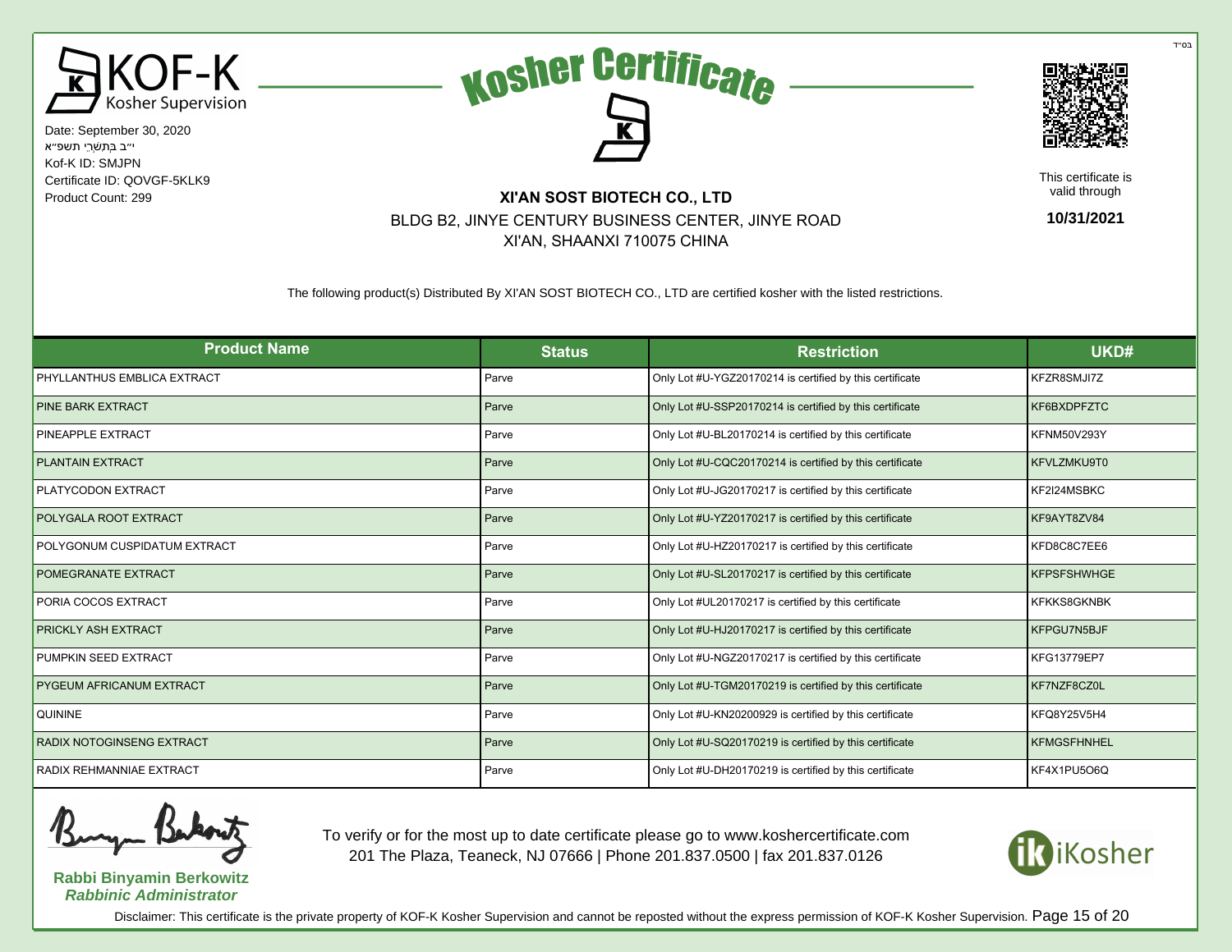





This certificate is valid through

**10/31/2021**

#### Product Count: 299 **XI'AN SOST BIOTECH CO., LTD** BLDG B2, JINYE CENTURY BUSINESS CENTER, JINYE ROAD XI'AN, SHAANXI 710075 CHINA

The following product(s) Distributed By XI'AN SOST BIOTECH CO., LTD are certified kosher with the listed restrictions.

| <b>Product Name</b>              | <b>Status</b> | <b>Restriction</b>                                       | UKD#               |
|----------------------------------|---------------|----------------------------------------------------------|--------------------|
| PHYLLANTHUS EMBLICA EXTRACT      | Parve         | Only Lot #U-YGZ20170214 is certified by this certificate | KFZR8SMJI7Z        |
| PINE BARK EXTRACT                | Parve         | Only Lot #U-SSP20170214 is certified by this certificate | KF6BXDPFZTC        |
| PINEAPPLE EXTRACT                | Parve         | Only Lot #U-BL20170214 is certified by this certificate  | <b>KFNM50V293Y</b> |
| <b>PLANTAIN EXTRACT</b>          | Parve         | Only Lot #U-CQC20170214 is certified by this certificate | KFVLZMKU9T0        |
| PLATYCODON EXTRACT               | Parve         | Only Lot #U-JG20170217 is certified by this certificate  | KF2I24MSBKC        |
| POLYGALA ROOT EXTRACT            | Parve         | Only Lot #U-YZ20170217 is certified by this certificate  | KF9AYT8ZV84        |
| POLYGONUM CUSPIDATUM EXTRACT     | Parve         | Only Lot #U-HZ20170217 is certified by this certificate  | KFD8C8C7EE6        |
| POMEGRANATE EXTRACT              | Parve         | Only Lot #U-SL20170217 is certified by this certificate  | <b>KFPSFSHWHGE</b> |
| PORIA COCOS EXTRACT              | Parve         | Only Lot #UL20170217 is certified by this certificate    | <b>KFKKS8GKNBK</b> |
| PRICKLY ASH EXTRACT              | Parve         | Only Lot #U-HJ20170217 is certified by this certificate  | KFPGU7N5BJF        |
| PUMPKIN SEED EXTRACT             | Parve         | Only Lot #U-NGZ20170217 is certified by this certificate | KFG13779EP7        |
| PYGEUM AFRICANUM EXTRACT         | Parve         | Only Lot #U-TGM20170219 is certified by this certificate | KF7NZF8CZ0L        |
| <b>QUININE</b>                   | Parve         | Only Lot #U-KN20200929 is certified by this certificate  | KFQ8Y25V5H4        |
| <b>RADIX NOTOGINSENG EXTRACT</b> | Parve         | Only Lot #U-SQ20170219 is certified by this certificate  | <b>KFMGSFHNHEL</b> |
| RADIX REHMANNIAE EXTRACT         | Parve         | Only Lot #U-DH20170219 is certified by this certificate  | KF4X1PU5O6Q        |

**Rabbi Binyamin Berkowitz Rabbinic Administrator**

To verify or for the most up to date certificate please go to www.koshercertificate.com 201 The Plaza, Teaneck, NJ 07666 | Phone 201.837.0500 | fax 201.837.0126



Disclaimer: This certificate is the private property of KOF-K Kosher Supervision and cannot be reposted without the express permission of KOF-K Kosher Supervision. Page 15 of 20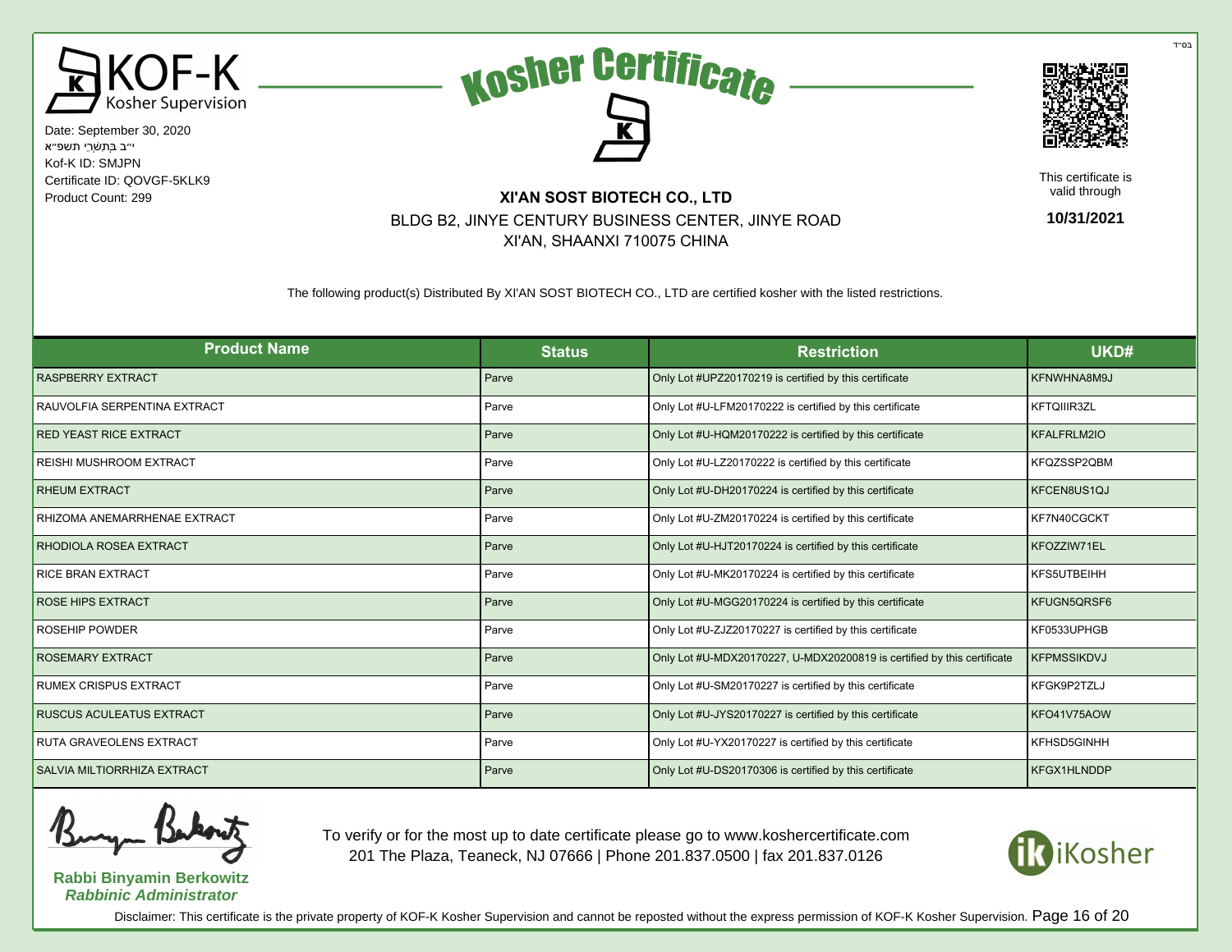





This certificate is valid through

**10/31/2021**

# Product Count: 299 **XI'AN SOST BIOTECH CO., LTD** BLDG B2, JINYE CENTURY BUSINESS CENTER, JINYE ROAD XI'AN, SHAANXI 710075 CHINA

The following product(s) Distributed By XI'AN SOST BIOTECH CO., LTD are certified kosher with the listed restrictions.

| <b>Product Name</b>                | <b>Status</b> | <b>Restriction</b>                                                      | UKD#               |
|------------------------------------|---------------|-------------------------------------------------------------------------|--------------------|
| <b>RASPBERRY EXTRACT</b>           | Parve         | Only Lot #UPZ20170219 is certified by this certificate                  | KFNWHNA8M9J        |
| RAUVOLFIA SERPENTINA EXTRACT       | Parve         | Only Lot #U-LFM20170222 is certified by this certificate                | <b>KFTQIIIR3ZL</b> |
| <b>RED YEAST RICE EXTRACT</b>      | Parve         | Only Lot #U-HQM20170222 is certified by this certificate                | <b>KFALFRLM2IO</b> |
| REISHI MUSHROOM EXTRACT            | Parve         | Only Lot #U-LZ20170222 is certified by this certificate                 | KFQZSSP2QBM        |
| <b>RHEUM EXTRACT</b>               | Parve         | Only Lot #U-DH20170224 is certified by this certificate                 | KFCEN8US1QJ        |
| RHIZOMA ANEMARRHENAE EXTRACT       | Parve         | Only Lot #U-ZM20170224 is certified by this certificate                 | KF7N40CGCKT        |
| RHODIOLA ROSEA EXTRACT             | Parve         | Only Lot #U-HJT20170224 is certified by this certificate                | KFOZZIW71EL        |
| <b>RICE BRAN EXTRACT</b>           | Parve         | Only Lot #U-MK20170224 is certified by this certificate                 | KFS5UTBEIHH        |
| <b>ROSE HIPS EXTRACT</b>           | Parve         | Only Lot #U-MGG20170224 is certified by this certificate                | KFUGN5QRSF6        |
| <b>ROSEHIP POWDER</b>              | Parve         | Only Lot #U-ZJZ20170227 is certified by this certificate                | KF0533UPHGB        |
| <b>ROSEMARY EXTRACT</b>            | Parve         | Only Lot #U-MDX20170227, U-MDX20200819 is certified by this certificate | <b>KFPMSSIKDVJ</b> |
| <b>RUMEX CRISPUS EXTRACT</b>       | Parve         | Only Lot #U-SM20170227 is certified by this certificate                 | KFGK9P2TZLJ        |
| RUSCUS ACULEATUS EXTRACT           | Parve         | Only Lot #U-JYS20170227 is certified by this certificate                | KFO41V75AOW        |
| RUTA GRAVEOLENS EXTRACT            | Parve         | Only Lot #U-YX20170227 is certified by this certificate                 | KFHSD5GINHH        |
| <b>SALVIA MILTIORRHIZA EXTRACT</b> | Parve         | Only Lot #U-DS20170306 is certified by this certificate                 | KFGX1HLNDDP        |

**Rabbi Binyamin Berkowitz Rabbinic Administrator**

To verify or for the most up to date certificate please go to www.koshercertificate.com 201 The Plaza, Teaneck, NJ 07666 | Phone 201.837.0500 | fax 201.837.0126



Disclaimer: This certificate is the private property of KOF-K Kosher Supervision and cannot be reposted without the express permission of KOF-K Kosher Supervision. Page 16 of 20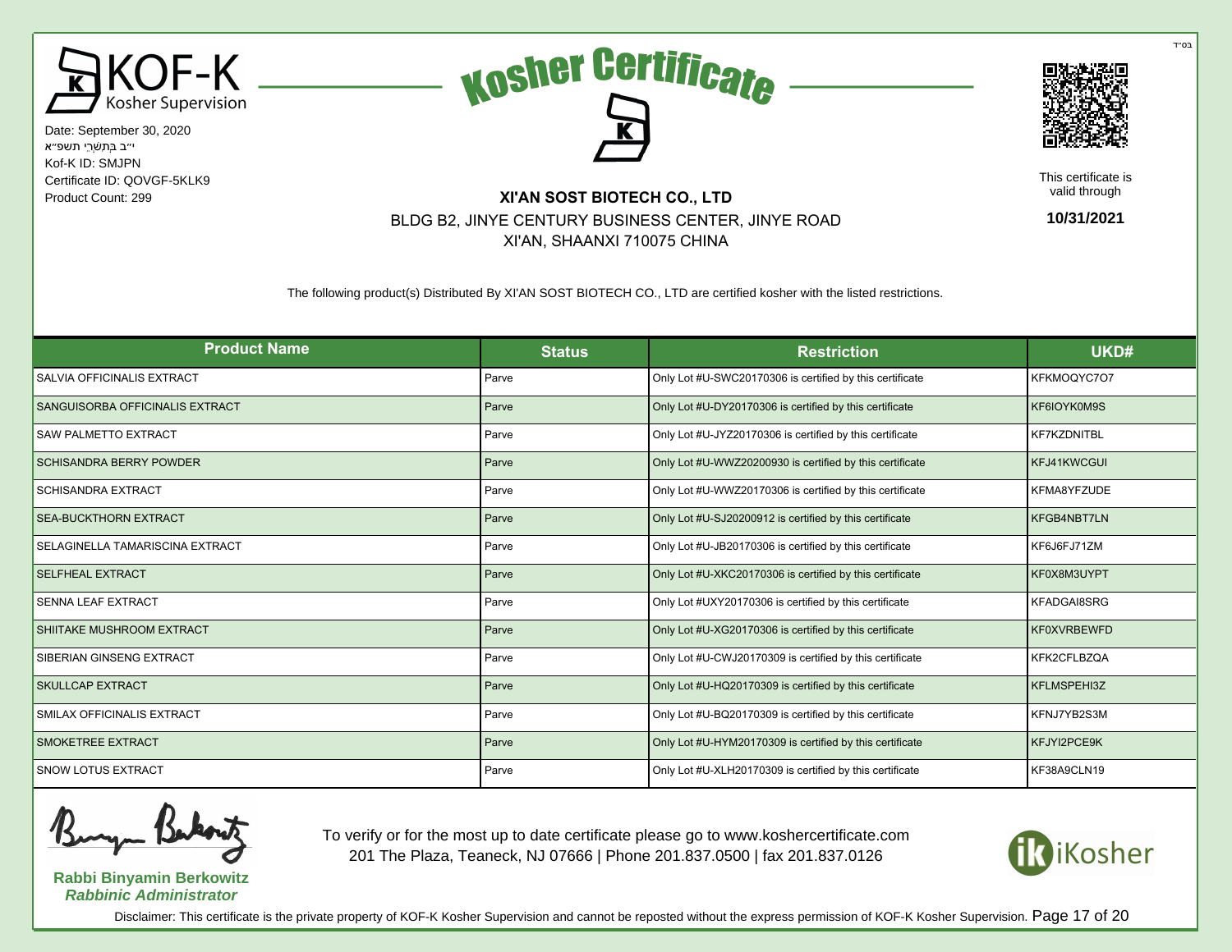





This certificate is valid through

**10/31/2021**

# Product Count: 299 **XI'AN SOST BIOTECH CO., LTD** BLDG B2, JINYE CENTURY BUSINESS CENTER, JINYE ROAD XI'AN, SHAANXI 710075 CHINA

The following product(s) Distributed By XI'AN SOST BIOTECH CO., LTD are certified kosher with the listed restrictions.

| <b>Product Name</b>             | <b>Status</b> | <b>Restriction</b>                                       | UKD#               |
|---------------------------------|---------------|----------------------------------------------------------|--------------------|
| SALVIA OFFICINALIS EXTRACT      | Parve         | Only Lot #U-SWC20170306 is certified by this certificate | KFKMOQYC707        |
| SANGUISORBA OFFICINALIS EXTRACT | Parve         | Only Lot #U-DY20170306 is certified by this certificate  | KF6IOYK0M9S        |
| <b>SAW PALMETTO EXTRACT</b>     | Parve         | Only Lot #U-JYZ20170306 is certified by this certificate | <b>KF7KZDNITBL</b> |
| <b>SCHISANDRA BERRY POWDER</b>  | Parve         | Only Lot #U-WWZ20200930 is certified by this certificate | KFJ41KWCGUI        |
| <b>SCHISANDRA EXTRACT</b>       | Parve         | Only Lot #U-WWZ20170306 is certified by this certificate | KFMA8YFZUDE        |
| <b>SEA-BUCKTHORN EXTRACT</b>    | Parve         | Only Lot #U-SJ20200912 is certified by this certificate  | KFGB4NBT7LN        |
| SELAGINELLA TAMARISCINA EXTRACT | Parve         | Only Lot #U-JB20170306 is certified by this certificate  | KF6J6FJ71ZM        |
| <b>SELFHEAL EXTRACT</b>         | Parve         | Only Lot #U-XKC20170306 is certified by this certificate | KF0X8M3UYPT        |
| <b>SENNA LEAF EXTRACT</b>       | Parve         | Only Lot #UXY20170306 is certified by this certificate   | <b>KFADGAI8SRG</b> |
| SHIITAKE MUSHROOM EXTRACT       | Parve         | Only Lot #U-XG20170306 is certified by this certificate  | <b>KF0XVRBEWFD</b> |
| SIBERIAN GINSENG EXTRACT        | Parve         | Only Lot #U-CWJ20170309 is certified by this certificate | KFK2CFLBZQA        |
| SKULLCAP EXTRACT                | Parve         | Only Lot #U-HQ20170309 is certified by this certificate  | <b>KFLMSPEHI3Z</b> |
| SMILAX OFFICINALIS EXTRACT      | Parve         | Only Lot #U-BQ20170309 is certified by this certificate  | KFNJ7YB2S3M        |
| SMOKETREE EXTRACT               | Parve         | Only Lot #U-HYM20170309 is certified by this certificate | KFJYI2PCE9K        |
| <b>SNOW LOTUS EXTRACT</b>       | Parve         | Only Lot #U-XLH20170309 is certified by this certificate | KF38A9CLN19        |

**Rabbi Binyamin Berkowitz Rabbinic Administrator**

To verify or for the most up to date certificate please go to www.koshercertificate.com 201 The Plaza, Teaneck, NJ 07666 | Phone 201.837.0500 | fax 201.837.0126



Disclaimer: This certificate is the private property of KOF-K Kosher Supervision and cannot be reposted without the express permission of KOF-K Kosher Supervision. Page 17 of 20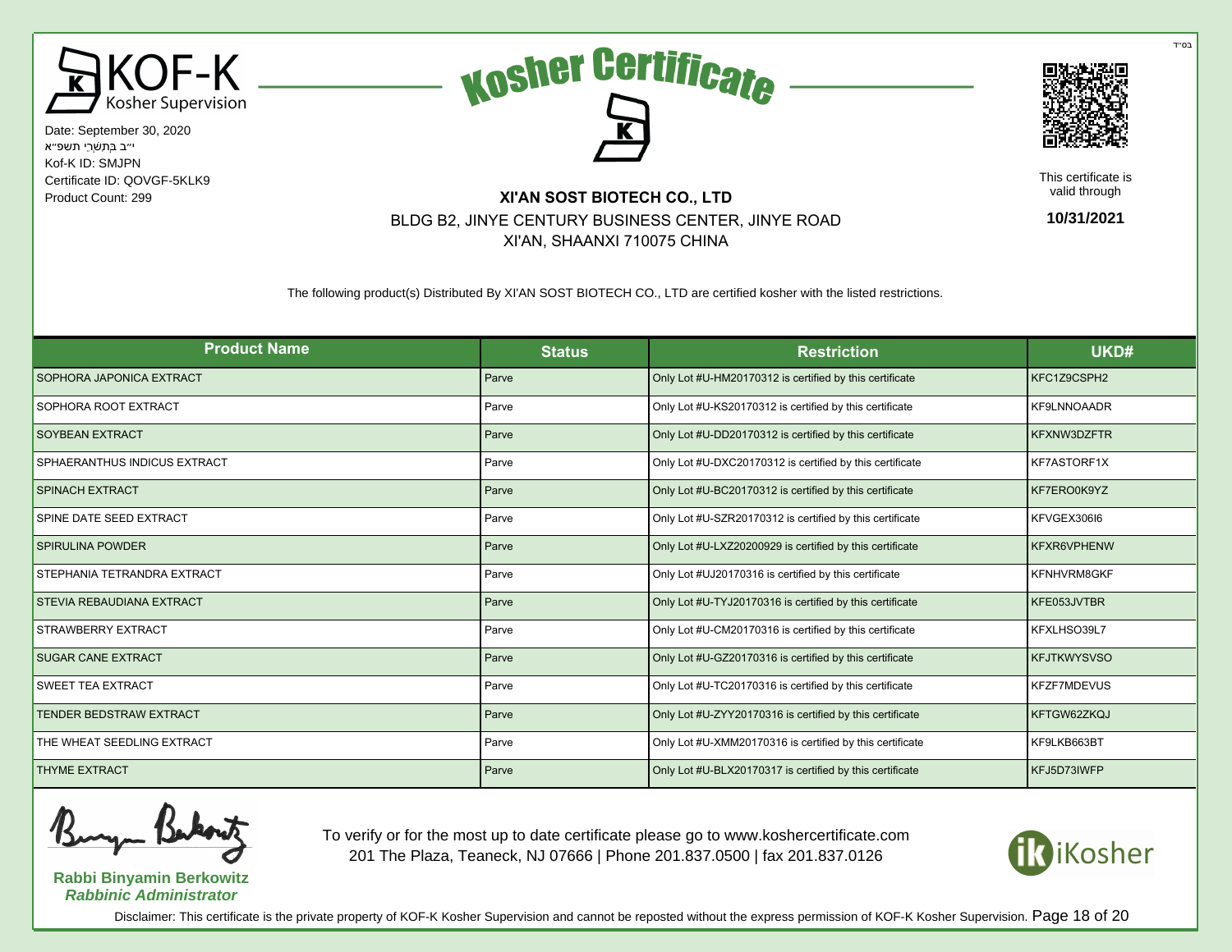





This certificate is valid through

**10/31/2021**

# Product Count: 299 **XI'AN SOST BIOTECH CO., LTD** BLDG B2, JINYE CENTURY BUSINESS CENTER, JINYE ROAD XI'AN, SHAANXI 710075 CHINA

The following product(s) Distributed By XI'AN SOST BIOTECH CO., LTD are certified kosher with the listed restrictions.

| <b>Product Name</b>                | <b>Status</b> | <b>Restriction</b>                                       | UKD#               |
|------------------------------------|---------------|----------------------------------------------------------|--------------------|
| SOPHORA JAPONICA EXTRACT           | Parve         | Only Lot #U-HM20170312 is certified by this certificate  | KFC1Z9CSPH2        |
| SOPHORA ROOT EXTRACT               | Parve         | Only Lot #U-KS20170312 is certified by this certificate  | <b>KF9LNNOAADR</b> |
| SOYBEAN EXTRACT                    | Parve         | Only Lot #U-DD20170312 is certified by this certificate  | <b>KFXNW3DZFTR</b> |
| SPHAERANTHUS INDICUS EXTRACT       | Parve         | Only Lot #U-DXC20170312 is certified by this certificate | KF7ASTORF1X        |
| <b>SPINACH EXTRACT</b>             | Parve         | Only Lot #U-BC20170312 is certified by this certificate  | KF7ERO0K9YZ        |
| SPINE DATE SEED EXTRACT            | Parve         | Only Lot #U-SZR20170312 is certified by this certificate | KFVGEX306I6        |
| <b>SPIRULINA POWDER</b>            | Parve         | Only Lot #U-LXZ20200929 is certified by this certificate | KFXR6VPHENW        |
| <b>STEPHANIA TETRANDRA EXTRACT</b> | Parve         | Only Lot #UJ20170316 is certified by this certificate    | KFNHVRM8GKF        |
| STEVIA REBAUDIANA EXTRACT          | Parve         | Only Lot #U-TYJ20170316 is certified by this certificate | KFE053JVTBR        |
| STRAWBERRY EXTRACT                 | Parve         | Only Lot #U-CM20170316 is certified by this certificate  | KFXLHSO39L7        |
| <b>SUGAR CANE EXTRACT</b>          | Parve         | Only Lot #U-GZ20170316 is certified by this certificate  | <b>KFJTKWYSVSO</b> |
| <b>SWEET TEA EXTRACT</b>           | Parve         | Only Lot #U-TC20170316 is certified by this certificate  | <b>KFZF7MDEVUS</b> |
| <b>TENDER BEDSTRAW EXTRACT</b>     | Parve         | Only Lot #U-ZYY20170316 is certified by this certificate | KFTGW62ZKQJ        |
| THE WHEAT SEEDLING EXTRACT         | Parve         | Only Lot #U-XMM20170316 is certified by this certificate | KF9LKB663BT        |
| <b>THYME EXTRACT</b>               | Parve         | Only Lot #U-BLX20170317 is certified by this certificate | KFJ5D73IWFP        |

**Rabbi Binyamin Berkowitz Rabbinic Administrator**

To verify or for the most up to date certificate please go to www.koshercertificate.com 201 The Plaza, Teaneck, NJ 07666 | Phone 201.837.0500 | fax 201.837.0126



Disclaimer: This certificate is the private property of KOF-K Kosher Supervision and cannot be reposted without the express permission of KOF-K Kosher Supervision. Page 18 of 20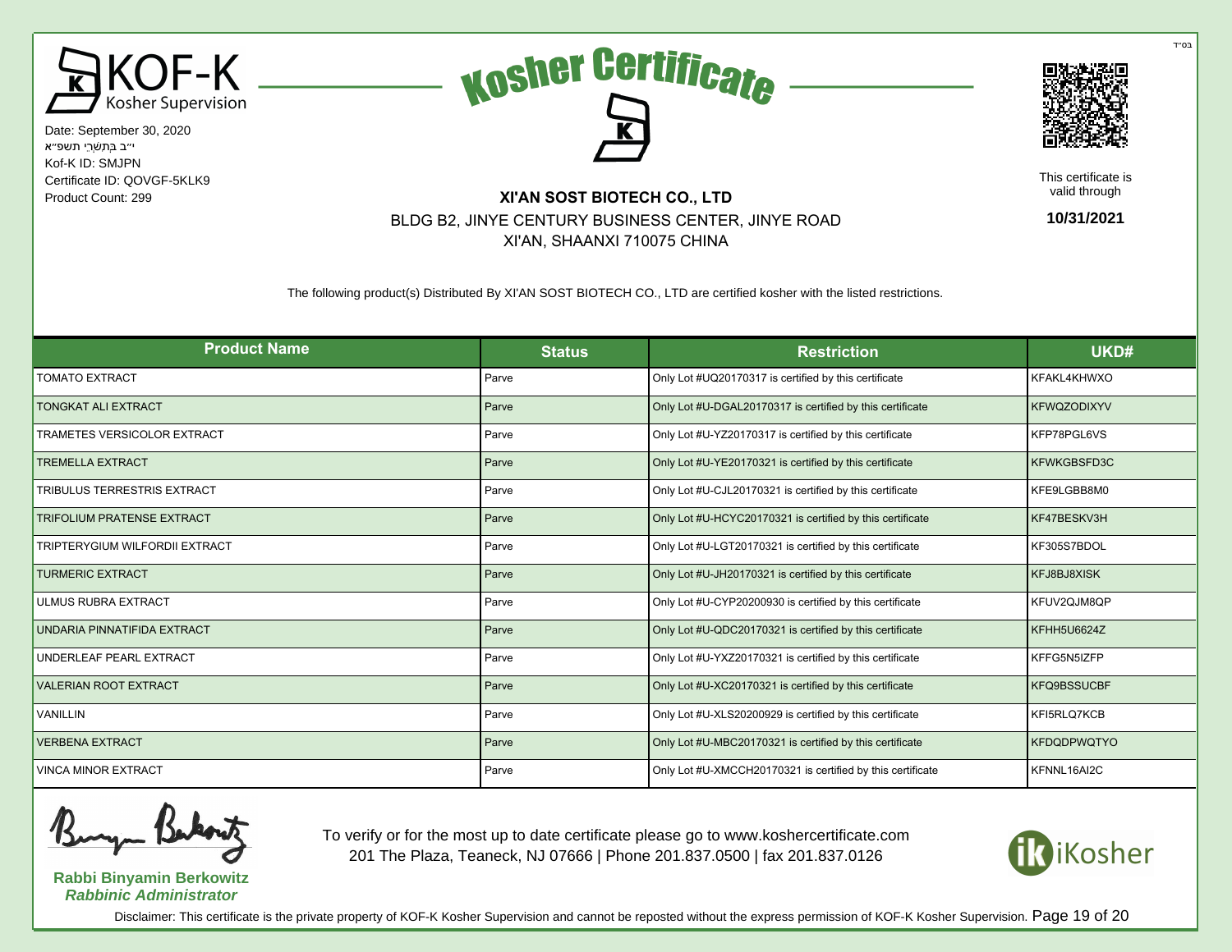





This certificate is valid through

**10/31/2021**

# Product Count: 299 **XI'AN SOST BIOTECH CO., LTD** BLDG B2, JINYE CENTURY BUSINESS CENTER, JINYE ROAD XI'AN, SHAANXI 710075 CHINA

The following product(s) Distributed By XI'AN SOST BIOTECH CO., LTD are certified kosher with the listed restrictions.

| <b>Product Name</b>                   | <b>Status</b> | <b>Restriction</b>                                         | UKD#               |
|---------------------------------------|---------------|------------------------------------------------------------|--------------------|
| <b>TOMATO EXTRACT</b>                 | Parve         | Only Lot #UQ20170317 is certified by this certificate      | KFAKL4KHWXO        |
| <b>TONGKAT ALI EXTRACT</b>            | Parve         | Only Lot #U-DGAL20170317 is certified by this certificate  | <b>KFWQZODIXYV</b> |
| <b>TRAMETES VERSICOLOR EXTRACT</b>    | Parve         | Only Lot #U-YZ20170317 is certified by this certificate    | KFP78PGL6VS        |
| <b>TREMELLA EXTRACT</b>               | Parve         | Only Lot #U-YE20170321 is certified by this certificate    | KFWKGBSFD3C        |
| <b>TRIBULUS TERRESTRIS EXTRACT</b>    | Parve         | Only Lot #U-CJL20170321 is certified by this certificate   | KFE9LGBB8M0        |
| <b>TRIFOLIUM PRATENSE EXTRACT</b>     | Parve         | Only Lot #U-HCYC20170321 is certified by this certificate  | KF47BESKV3H        |
| <b>TRIPTERYGIUM WILFORDII EXTRACT</b> | Parve         | Only Lot #U-LGT20170321 is certified by this certificate   | KF305S7BDOL        |
| <b>TURMERIC EXTRACT</b>               | Parve         | Only Lot #U-JH20170321 is certified by this certificate    | KFJ8BJ8XISK        |
| <b>ULMUS RUBRA EXTRACT</b>            | Parve         | Only Lot #U-CYP20200930 is certified by this certificate   | KFUV2QJM8QP        |
| UNDARIA PINNATIFIDA EXTRACT           | Parve         | Only Lot #U-QDC20170321 is certified by this certificate   | KFHH5U6624Z        |
| UNDERLEAF PEARL EXTRACT               | Parve         | Only Lot #U-YXZ20170321 is certified by this certificate   | KFFG5N5IZFP        |
| <b>VALERIAN ROOT EXTRACT</b>          | Parve         | Only Lot #U-XC20170321 is certified by this certificate    | <b>KFQ9BSSUCBF</b> |
| <b>VANILLIN</b>                       | Parve         | Only Lot #U-XLS20200929 is certified by this certificate   | KFI5RLQ7KCB        |
| <b>VERBENA EXTRACT</b>                | Parve         | Only Lot #U-MBC20170321 is certified by this certificate   | <b>KFDQDPWQTYO</b> |
| <b>VINCA MINOR EXTRACT</b>            | Parve         | Only Lot #U-XMCCH20170321 is certified by this certificate | KFNNL16AI2C        |

**Rabbi Binyamin Berkowitz Rabbinic Administrator**

To verify or for the most up to date certificate please go to www.koshercertificate.com 201 The Plaza, Teaneck, NJ 07666 | Phone 201.837.0500 | fax 201.837.0126



בּס״ד

Disclaimer: This certificate is the private property of KOF-K Kosher Supervision and cannot be reposted without the express permission of KOF-K Kosher Supervision. Page 19 of 20